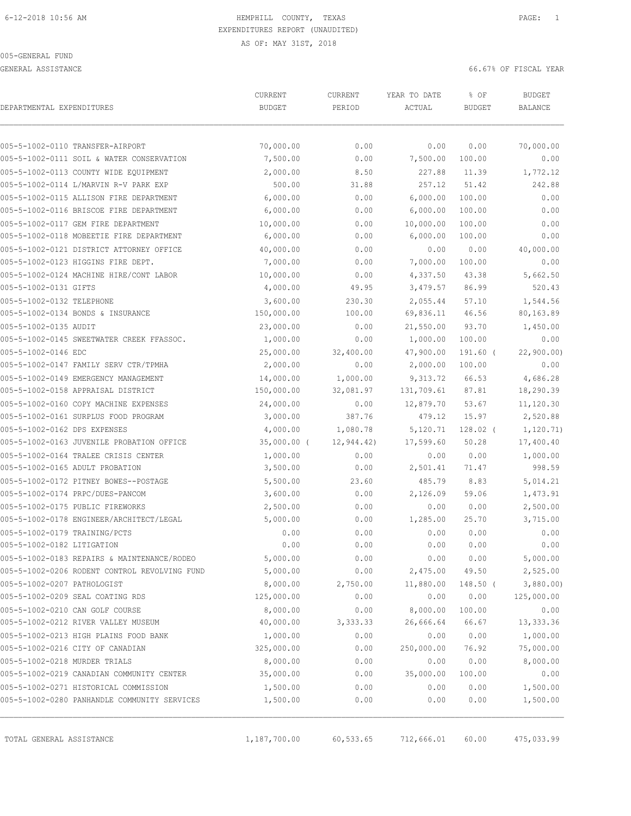GENERAL ASSISTANCE 66.67% OF FISCAL YEAR

| DEPARTMENTAL EXPENDITURES     |                                               | CURRENT<br><b>BUDGET</b> | CURRENT<br>PERIOD | YEAR TO DATE<br>ACTUAL | % OF<br><b>BUDGET</b> | <b>BUDGET</b><br><b>BALANCE</b> |
|-------------------------------|-----------------------------------------------|--------------------------|-------------------|------------------------|-----------------------|---------------------------------|
|                               |                                               |                          |                   |                        |                       |                                 |
|                               | 005-5-1002-0110 TRANSFER-AIRPORT              | 70,000.00                | 0.00              | 0.00                   | 0.00                  | 70,000.00                       |
|                               | 005-5-1002-0111 SOIL & WATER CONSERVATION     | 7,500.00                 | 0.00              | 7,500.00               | 100.00                | 0.00                            |
|                               | 005-5-1002-0113 COUNTY WIDE EQUIPMENT         | 2,000.00                 | 8.50              | 227.88                 | 11.39                 | 1,772.12                        |
|                               | 005-5-1002-0114 L/MARVIN R-V PARK EXP         | 500.00                   | 31.88             | 257.12                 | 51.42                 | 242.88                          |
|                               | 005-5-1002-0115 ALLISON FIRE DEPARTMENT       | 6,000.00                 | 0.00              | 6,000.00               | 100.00                | 0.00                            |
|                               | 005-5-1002-0116 BRISCOE FIRE DEPARTMENT       | 6,000.00                 | 0.00              | 6,000.00               | 100.00                | 0.00                            |
|                               | 005-5-1002-0117 GEM FIRE DEPARTMENT           | 10,000.00                | 0.00              | 10,000.00              | 100.00                | 0.00                            |
|                               | 005-5-1002-0118 MOBEETIE FIRE DEPARTMENT      | 6,000.00                 | 0.00              | 6,000.00               | 100.00                | 0.00                            |
|                               | 005-5-1002-0121 DISTRICT ATTORNEY OFFICE      | 40,000.00                | 0.00              | 0.00                   | 0.00                  | 40,000.00                       |
|                               | 005-5-1002-0123 HIGGINS FIRE DEPT.            | 7,000.00                 | 0.00              | 7,000.00               | 100.00                | 0.00                            |
|                               | 005-5-1002-0124 MACHINE HIRE/CONT LABOR       | 10,000.00                | 0.00              | 4,337.50               | 43.38                 | 5,662.50                        |
| 005-5-1002-0131 GIFTS         |                                               | 4,000.00                 | 49.95             | 3,479.57               | 86.99                 | 520.43                          |
| 005-5-1002-0132 TELEPHONE     |                                               | 3,600.00                 | 230.30            | 2,055.44               | 57.10                 | 1,544.56                        |
|                               | 005-5-1002-0134 BONDS & INSURANCE             | 150,000.00               | 100.00            | 69,836.11              | 46.56                 | 80,163.89                       |
| 005-5-1002-0135 AUDIT         |                                               | 23,000.00                | 0.00              | 21,550.00              | 93.70                 | 1,450.00                        |
|                               | 005-5-1002-0145 SWEETWATER CREEK FFASSOC.     | 1,000.00                 | 0.00              | 1,000.00               | 100.00                | 0.00                            |
| 005-5-1002-0146 EDC           |                                               | 25,000.00                | 32,400.00         | 47,900.00              | 191.60 (              | 22,900.00)                      |
|                               | 005-5-1002-0147 FAMILY SERV CTR/TPMHA         | 2,000.00                 | 0.00              | 2,000.00               | 100.00                | 0.00                            |
|                               | 005-5-1002-0149 EMERGENCY MANAGEMENT          | 14,000.00                | 1,000.00          | 9,313.72               | 66.53                 | 4,686.28                        |
|                               | 005-5-1002-0158 APPRAISAL DISTRICT            | 150,000.00               | 32,081.97         | 131,709.61             | 87.81                 | 18,290.39                       |
|                               | 005-5-1002-0160 COPY MACHINE EXPENSES         | 24,000.00                | 0.00              | 12,879.70              | 53.67                 | 11,120.30                       |
|                               | 005-5-1002-0161 SURPLUS FOOD PROGRAM          | 3,000.00                 | 387.76            | 479.12                 | 15.97                 | 2,520.88                        |
| 005-5-1002-0162 DPS EXPENSES  |                                               | 4,000.00                 | 1,080.78          | 5,120.71               | $128.02$ (            | 1, 120.71)                      |
|                               | 005-5-1002-0163 JUVENILE PROBATION OFFICE     | $35,000.00$ (            | 12,944.42)        | 17,599.60              | 50.28                 | 17,400.40                       |
|                               | 005-5-1002-0164 TRALEE CRISIS CENTER          | 1,000.00                 | 0.00              | 0.00                   | 0.00                  | 1,000.00                        |
|                               | 005-5-1002-0165 ADULT PROBATION               | 3,500.00                 | 0.00              | 2,501.41               | 71.47                 | 998.59                          |
|                               | 005-5-1002-0172 PITNEY BOWES--POSTAGE         | 5,500.00                 | 23.60             | 485.79                 | 8.83                  | 5,014.21                        |
|                               | 005-5-1002-0174 PRPC/DUES-PANCOM              | 3,600.00                 | 0.00              | 2,126.09               | 59.06                 | 1,473.91                        |
|                               | 005-5-1002-0175 PUBLIC FIREWORKS              | 2,500.00                 | 0.00              | 0.00                   | 0.00                  | 2,500.00                        |
|                               | 005-5-1002-0178 ENGINEER/ARCHITECT/LEGAL      | 5,000.00                 | 0.00              | 1,285.00               | 25.70                 | 3,715.00                        |
| 005-5-1002-0179 TRAINING/PCTS |                                               | 0.00                     | 0.00              | 0.00                   | 0.00                  | 0.00                            |
| 005-5-1002-0182 LITIGATION    |                                               | 0.00                     | 0.00              | 0.00                   | 0.00                  | 0.00                            |
|                               | 005-5-1002-0183 REPAIRS & MAINTENANCE/RODEO   | 5,000.00                 | 0.00              | 0.00                   | 0.00                  | 5,000.00                        |
|                               | 005-5-1002-0206 RODENT CONTROL REVOLVING FUND | 5,000.00                 | 0.00              | 2,475.00               | 49.50                 | 2,525.00                        |
| 005-5-1002-0207 PATHOLOGIST   |                                               | 8,000.00                 | 2,750.00          | 11,880.00              | 148.50 (              | 3,880.00                        |
|                               | 005-5-1002-0209 SEAL COATING RDS              | 125,000.00               | 0.00              | 0.00                   | 0.00                  | 125,000.00                      |
|                               | 005-5-1002-0210 CAN GOLF COURSE               | 8,000.00                 | 0.00              | 8,000.00               | 100.00                | 0.00                            |
|                               | 005-5-1002-0212 RIVER VALLEY MUSEUM           | 40,000.00                | 3,333.33          | 26,666.64              | 66.67                 | 13,333.36                       |
|                               | 005-5-1002-0213 HIGH PLAINS FOOD BANK         | 1,000.00                 | 0.00              | 0.00                   | 0.00                  | 1,000.00                        |
|                               | 005-5-1002-0216 CITY OF CANADIAN              | 325,000.00               | 0.00              | 250,000.00             | 76.92                 | 75,000.00                       |
| 005-5-1002-0218 MURDER TRIALS |                                               | 8,000.00                 | 0.00              | 0.00                   | 0.00                  | 8,000.00                        |
|                               | 005-5-1002-0219 CANADIAN COMMUNITY CENTER     | 35,000.00                | 0.00              | 35,000.00              | 100.00                | 0.00                            |
|                               | 005-5-1002-0271 HISTORICAL COMMISSION         | 1,500.00                 | 0.00              | 0.00                   | 0.00                  | 1,500.00                        |
|                               | 005-5-1002-0280 PANHANDLE COMMUNITY SERVICES  | 1,500.00                 | 0.00              | 0.00                   | 0.00                  | 1,500.00                        |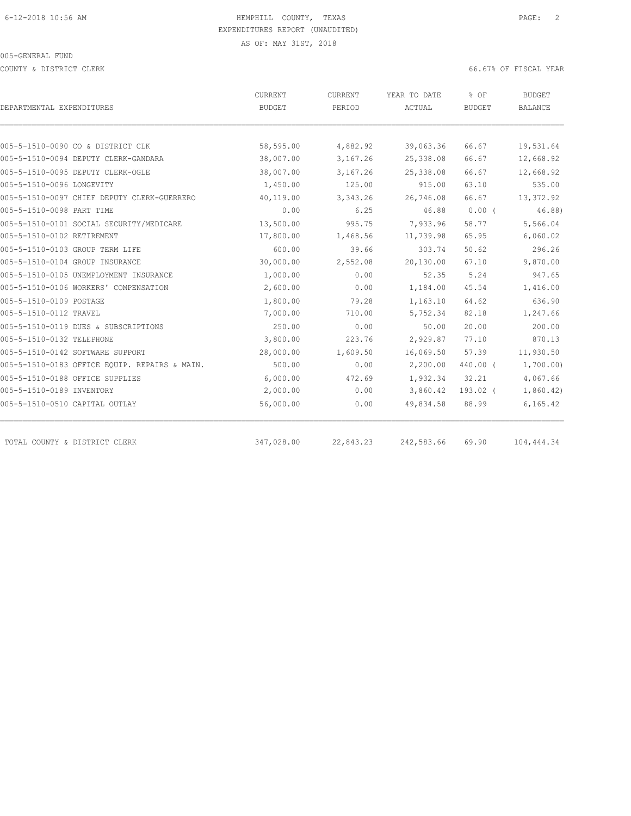COUNTY & DISTRICT CLERK 66.67% OF FISCAL YEAR

|                                               | CURRENT    | CURRENT   | YEAR TO DATE | % OF          | <b>BUDGET</b>  |
|-----------------------------------------------|------------|-----------|--------------|---------------|----------------|
| DEPARTMENTAL EXPENDITURES                     | BUDGET     | PERIOD    | ACTUAL       | <b>BUDGET</b> | <b>BALANCE</b> |
|                                               |            |           |              |               |                |
| 005-5-1510-0090 CO & DISTRICT CLK             | 58,595.00  | 4,882.92  | 39,063.36    | 66.67         | 19,531.64      |
| 005-5-1510-0094 DEPUTY CLERK-GANDARA          | 38,007.00  | 3,167.26  | 25,338.08    | 66.67         | 12,668.92      |
| 005-5-1510-0095 DEPUTY CLERK-OGLE             | 38,007.00  | 3,167.26  | 25,338.08    | 66.67         | 12,668.92      |
| 005-5-1510-0096 LONGEVITY                     | 1,450.00   | 125.00    | 915.00       | 63.10         | 535.00         |
| 005-5-1510-0097 CHIEF DEPUTY CLERK-GUERRERO   | 40,119.00  | 3,343.26  | 26,746.08    | 66.67         | 13,372.92      |
| 005-5-1510-0098 PART TIME                     | 0.00       | 6.25      | 46.88        | $0.00$ (      | 46.88)         |
| 005-5-1510-0101 SOCIAL SECURITY/MEDICARE      | 13,500.00  | 995.75    | 7,933.96     | 58.77         | 5,566.04       |
| 005-5-1510-0102 RETIREMENT                    | 17,800.00  | 1,468.56  | 11,739.98    | 65.95         | 6,060.02       |
| 005-5-1510-0103 GROUP TERM LIFE               | 600.00     | 39.66     | 303.74       | 50.62         | 296.26         |
| 005-5-1510-0104 GROUP INSURANCE               | 30,000.00  | 2,552.08  | 20,130.00    | 67.10         | 9,870.00       |
| 005-5-1510-0105 UNEMPLOYMENT INSURANCE        | 1,000.00   | 0.00      | 52.35        | 5.24          | 947.65         |
| 005-5-1510-0106 WORKERS' COMPENSATION         | 2,600.00   | 0.00      | 1,184.00     | 45.54         | 1,416.00       |
| 005-5-1510-0109 POSTAGE                       | 1,800.00   | 79.28     | 1,163.10     | 64.62         | 636.90         |
| 005-5-1510-0112 TRAVEL                        | 7,000.00   | 710.00    | 5,752.34     | 82.18         | 1,247.66       |
| 005-5-1510-0119 DUES & SUBSCRIPTIONS          | 250.00     | 0.00      | 50.00        | 20.00         | 200.00         |
| 005-5-1510-0132 TELEPHONE                     | 3,800.00   | 223.76    | 2,929.87     | 77.10         | 870.13         |
| 005-5-1510-0142 SOFTWARE SUPPORT              | 28,000.00  | 1,609.50  | 16,069.50    | 57.39         | 11,930.50      |
| 005-5-1510-0183 OFFICE EQUIP. REPAIRS & MAIN. | 500.00     | 0.00      | 2,200.00     | 440.00 (      | 1,700.00)      |
| 005-5-1510-0188 OFFICE SUPPLIES               | 6,000.00   | 472.69    | 1,932.34     | 32.21         | 4,067.66       |
| 005-5-1510-0189 INVENTORY                     | 2,000.00   | 0.00      | 3,860.42     | 193.02 (      | 1,860.42)      |
| 005-5-1510-0510 CAPITAL OUTLAY                | 56,000.00  | 0.00      | 49,834.58    | 88.99         | 6, 165.42      |
|                                               |            |           |              |               |                |
| TOTAL COUNTY & DISTRICT CLERK                 | 347,028.00 | 22,843.23 | 242,583.66   | 69.90         | 104, 444.34    |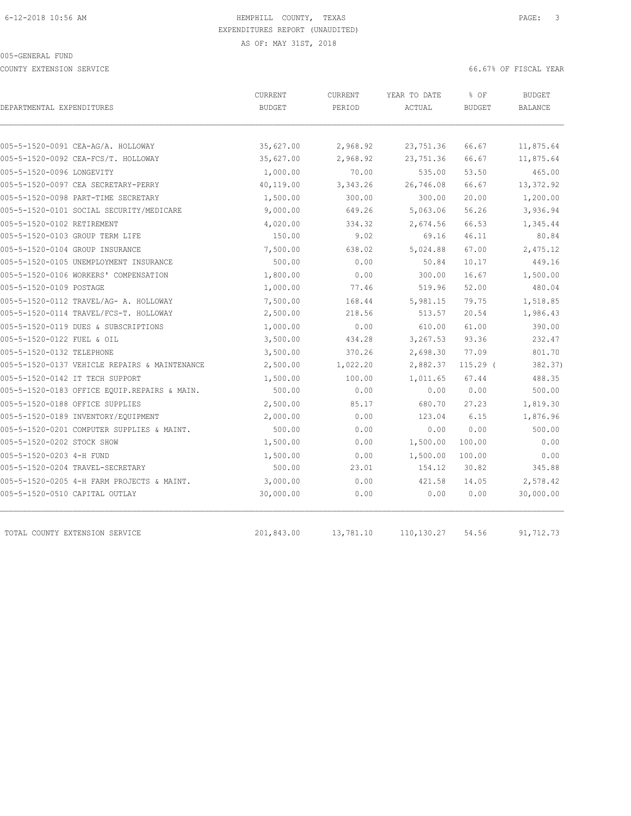#### 005-GENERAL FUND

COUNTY EXTENSION SERVICE 66.67% OF FISCAL YEAR

| DEPARTMENTAL EXPENDITURES                     | <b>CURRENT</b><br><b>BUDGET</b> | <b>CURRENT</b><br>PERIOD | YEAR TO DATE<br>ACTUAL | % OF<br><b>BUDGET</b> | <b>BUDGET</b><br>BALANCE |
|-----------------------------------------------|---------------------------------|--------------------------|------------------------|-----------------------|--------------------------|
|                                               |                                 |                          |                        |                       |                          |
| 005-5-1520-0091 CEA-AG/A. HOLLOWAY            | 35,627.00                       | 2,968.92                 | 23,751.36              | 66.67                 | 11,875.64                |
| 005-5-1520-0092 CEA-FCS/T. HOLLOWAY           | 35,627.00                       | 2,968.92                 | 23,751.36              | 66.67                 | 11,875.64                |
| 005-5-1520-0096 LONGEVITY                     | 1,000.00                        | 70.00                    | 535.00                 | 53.50                 | 465.00                   |
| 005-5-1520-0097 CEA SECRETARY-PERRY           | 40,119.00                       | 3,343.26                 | 26,746.08              | 66.67                 | 13,372.92                |
| 005-5-1520-0098 PART-TIME SECRETARY           | 1,500.00                        | 300.00                   | 300.00                 | 20.00                 | 1,200.00                 |
| 005-5-1520-0101 SOCIAL SECURITY/MEDICARE      | 9,000.00                        | 649.26                   | 5,063.06               | 56.26                 | 3,936.94                 |
| 005-5-1520-0102 RETIREMENT                    | 4,020.00                        | 334.32                   | 2,674.56               | 66.53                 | 1,345.44                 |
| 005-5-1520-0103 GROUP TERM LIFE               | 150.00                          | 9.02                     | 69.16                  | 46.11                 | 80.84                    |
| 005-5-1520-0104 GROUP INSURANCE               | 7,500.00                        | 638.02                   | 5,024.88               | 67.00                 | 2,475.12                 |
| 005-5-1520-0105 UNEMPLOYMENT INSURANCE        | 500.00                          | 0.00                     | 50.84                  | 10.17                 | 449.16                   |
| 005-5-1520-0106 WORKERS' COMPENSATION         | 1,800.00                        | 0.00                     | 300.00                 | 16.67                 | 1,500.00                 |
| 005-5-1520-0109 POSTAGE                       | 1,000.00                        | 77.46                    | 519.96                 | 52.00                 | 480.04                   |
| 005-5-1520-0112 TRAVEL/AG- A. HOLLOWAY        | 7,500.00                        | 168.44                   | 5,981.15               | 79.75                 | 1,518.85                 |
| 005-5-1520-0114 TRAVEL/FCS-T. HOLLOWAY        | 2,500.00                        | 218.56                   | 513.57                 | 20.54                 | 1,986.43                 |
| 005-5-1520-0119 DUES & SUBSCRIPTIONS          | 1,000.00                        | 0.00                     | 610.00                 | 61.00                 | 390.00                   |
| 005-5-1520-0122 FUEL & OIL                    | 3,500.00                        | 434.28                   | 3,267.53               | 93.36                 | 232.47                   |
| 005-5-1520-0132 TELEPHONE                     | 3,500.00                        | 370.26                   | 2,698.30               | 77.09                 | 801.70                   |
| 005-5-1520-0137 VEHICLE REPAIRS & MAINTENANCE | 2,500.00                        | 1,022.20                 | 2,882.37               | $115.29$ (            | 382.37)                  |
| 005-5-1520-0142 IT TECH SUPPORT               | 1,500.00                        | 100.00                   | 1,011.65               | 67.44                 | 488.35                   |
| 005-5-1520-0183 OFFICE EQUIP.REPAIRS & MAIN.  | 500.00                          | 0.00                     | 0.00                   | 0.00                  | 500.00                   |
| 005-5-1520-0188 OFFICE SUPPLIES               | 2,500.00                        | 85.17                    | 680.70                 | 27.23                 | 1,819.30                 |
| 005-5-1520-0189 INVENTORY/EQUIPMENT           | 2,000.00                        | 0.00                     | 123.04                 | 6.15                  | 1,876.96                 |
| 005-5-1520-0201 COMPUTER SUPPLIES & MAINT.    | 500.00                          | 0.00                     | 0.00                   | 0.00                  | 500.00                   |
| 005-5-1520-0202 STOCK SHOW                    | 1,500.00                        | 0.00                     | 1,500.00               | 100.00                | 0.00                     |
| 005-5-1520-0203 4-H FUND                      | 1,500.00                        | 0.00                     | 1,500.00               | 100.00                | 0.00                     |
| 005-5-1520-0204 TRAVEL-SECRETARY              | 500.00                          | 23.01                    | 154.12                 | 30.82                 | 345.88                   |
| 005-5-1520-0205 4-H FARM PROJECTS & MAINT.    | 3,000.00                        | 0.00                     | 421.58                 | 14.05                 | 2,578.42                 |
| 005-5-1520-0510 CAPITAL OUTLAY                | 30,000.00                       | 0.00                     | 0.00                   | 0.00                  | 30,000.00                |
|                                               |                                 |                          |                        |                       |                          |
| TOTAL COUNTY EXTENSION SERVICE                | 201,843.00                      | 13,781.10                | 110,130.27             | 54.56                 | 91,712.73                |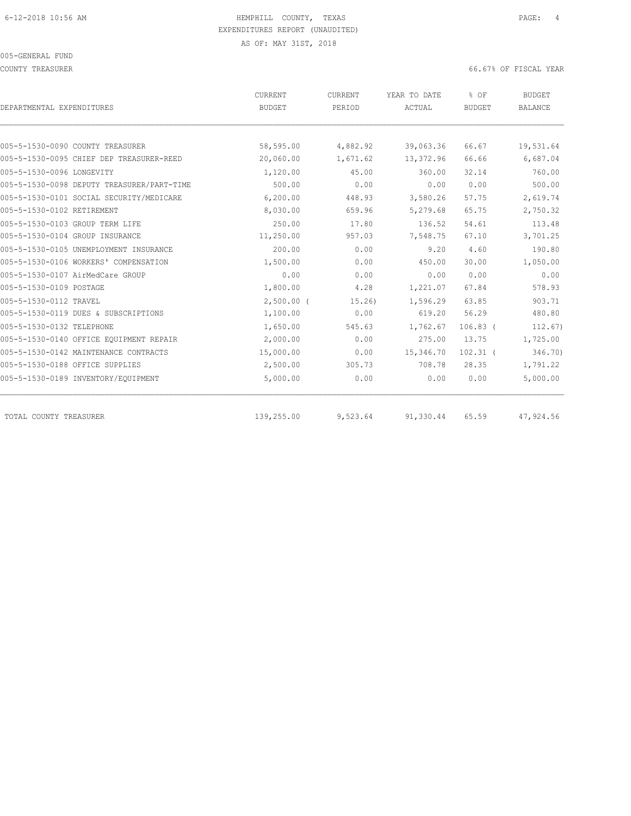#### 005-GENERAL FUND

COUNTY TREASURER 66.67% OF FISCAL YEAR

| DEPARTMENTAL EXPENDITURES                  | CURRENT<br><b>BUDGET</b> | CURRENT<br>PERIOD | YEAR TO DATE<br>ACTUAL | % OF<br><b>BUDGET</b> | <b>BUDGET</b><br><b>BALANCE</b> |
|--------------------------------------------|--------------------------|-------------------|------------------------|-----------------------|---------------------------------|
|                                            |                          |                   |                        |                       |                                 |
| 005-5-1530-0090 COUNTY TREASURER           | 58,595.00                | 4,882.92          | 39,063.36              | 66.67                 | 19,531.64                       |
| 005-5-1530-0095 CHIEF DEP TREASURER-REED   | 20,060.00                | 1,671.62          | 13,372.96              | 66.66                 | 6,687.04                        |
| 005-5-1530-0096 LONGEVITY                  | 1,120.00                 | 45.00             | 360.00                 | 32.14                 | 760.00                          |
| 005-5-1530-0098 DEPUTY TREASURER/PART-TIME | 500.00                   | 0.00              | 0.00                   | 0.00                  | 500.00                          |
| 005-5-1530-0101 SOCIAL SECURITY/MEDICARE   | 6,200.00                 | 448.93            | 3,580.26               | 57.75                 | 2,619.74                        |
| 005-5-1530-0102 RETIREMENT                 | 8,030.00                 | 659.96            | 5,279.68               | 65.75                 | 2,750.32                        |
| 005-5-1530-0103 GROUP TERM LIFE            | 250.00                   | 17.80             | 136.52                 | 54.61                 | 113.48                          |
| 005-5-1530-0104 GROUP INSURANCE            | 11,250.00                | 957.03            | 7,548.75               | 67.10                 | 3,701.25                        |
| 005-5-1530-0105 UNEMPLOYMENT INSURANCE     | 200.00                   | 0.00              | 9.20                   | 4.60                  | 190.80                          |
| 005-5-1530-0106 WORKERS' COMPENSATION      | 1,500.00                 | 0.00              | 450.00                 | 30.00                 | 1,050.00                        |
| 005-5-1530-0107 AirMedCare GROUP           | 0.00                     | 0.00              | 0.00                   | 0.00                  | 0.00                            |
| 005-5-1530-0109 POSTAGE                    | 1,800.00                 | 4.28              | 1,221.07               | 67.84                 | 578.93                          |
| 005-5-1530-0112 TRAVEL                     | $2,500.00$ (             | 15.26             | 1,596.29               | 63.85                 | 903.71                          |
| 005-5-1530-0119 DUES & SUBSCRIPTIONS       | 1,100.00                 | 0.00              | 619.20                 | 56.29                 | 480.80                          |
| 005-5-1530-0132 TELEPHONE                  | 1,650.00                 | 545.63            | 1,762.67               | $106.83$ (            | 112.67                          |
| 005-5-1530-0140 OFFICE EQUIPMENT REPAIR    | 2,000.00                 | 0.00              | 275.00                 | 13.75                 | 1,725.00                        |
| 005-5-1530-0142 MAINTENANCE CONTRACTS      | 15,000.00                | 0.00              | 15,346.70              | $102.31$ (            | 346.70)                         |
| 005-5-1530-0188 OFFICE SUPPLIES            | 2,500.00                 | 305.73            | 708.78                 | 28.35                 | 1,791.22                        |
| 005-5-1530-0189 INVENTORY/EQUIPMENT        | 5,000.00                 | 0.00              | 0.00                   | 0.00                  | 5,000.00                        |
| TOTAL COUNTY TREASURER                     | 139,255.00               | 9,523.64          | 91,330.44              | 65.59                 | 47,924.56                       |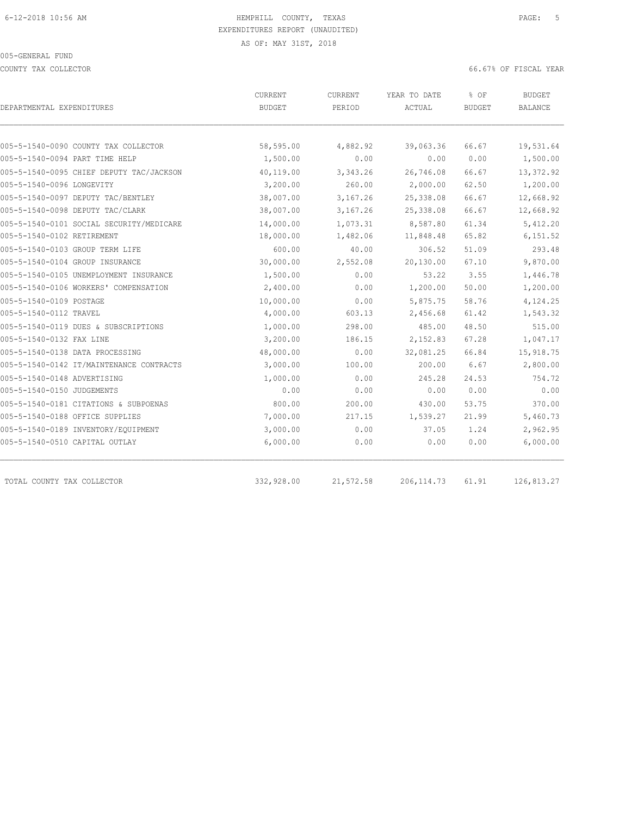COUNTY TAX COLLECTOR 66.67% OF FISCAL YEAR

| DEPARTMENTAL EXPENDITURES                | CURRENT<br><b>BUDGET</b> | <b>CURRENT</b><br>PERIOD | YEAR TO DATE<br>ACTUAL | % OF<br><b>BUDGET</b> | BUDGET<br><b>BALANCE</b> |
|------------------------------------------|--------------------------|--------------------------|------------------------|-----------------------|--------------------------|
| 005-5-1540-0090 COUNTY TAX COLLECTOR     | 58,595.00                | 4,882.92                 | 39,063.36              | 66.67                 | 19,531.64                |
| 005-5-1540-0094 PART TIME HELP           | 1,500.00                 | 0.00                     | 0.00                   | 0.00                  | 1,500.00                 |
| 005-5-1540-0095 CHIEF DEPUTY TAC/JACKSON | 40,119.00                | 3,343.26                 | 26,746.08              | 66.67                 | 13,372.92                |
| 005-5-1540-0096 LONGEVITY                | 3,200.00                 | 260.00                   | 2,000.00               | 62.50                 | 1,200.00                 |
| 005-5-1540-0097 DEPUTY TAC/BENTLEY       | 38,007.00                | 3,167.26                 | 25,338.08              | 66.67                 | 12,668.92                |
| 005-5-1540-0098 DEPUTY TAC/CLARK         | 38,007.00                | 3,167.26                 | 25,338.08              | 66.67                 | 12,668.92                |
| 005-5-1540-0101 SOCIAL SECURITY/MEDICARE | 14,000.00                | 1,073.31                 | 8,587.80               | 61.34                 | 5,412.20                 |
| 005-5-1540-0102 RETIREMENT               | 18,000.00                | 1,482.06                 | 11,848.48              | 65.82                 | 6, 151.52                |
| 005-5-1540-0103 GROUP TERM LIFE          | 600.00                   | 40.00                    | 306.52                 | 51.09                 | 293.48                   |
| 005-5-1540-0104 GROUP INSURANCE          | 30,000.00                | 2,552.08                 | 20,130.00              | 67.10                 | 9,870.00                 |
| 005-5-1540-0105 UNEMPLOYMENT INSURANCE   | 1,500.00                 | 0.00                     | 53.22                  | 3.55                  | 1,446.78                 |
| 005-5-1540-0106 WORKERS' COMPENSATION    | 2,400.00                 | 0.00                     | 1,200.00               | 50.00                 | 1,200.00                 |
| 005-5-1540-0109 POSTAGE                  | 10,000.00                | 0.00                     | 5,875.75               | 58.76                 | 4,124.25                 |
| 005-5-1540-0112 TRAVEL                   | 4,000.00                 | 603.13                   | 2,456.68               | 61.42                 | 1,543.32                 |
| 005-5-1540-0119 DUES & SUBSCRIPTIONS     | 1,000.00                 | 298.00                   | 485.00                 | 48.50                 | 515.00                   |
| 005-5-1540-0132 FAX LINE                 | 3,200.00                 | 186.15                   | 2,152.83               | 67.28                 | 1,047.17                 |
| 005-5-1540-0138 DATA PROCESSING          | 48,000.00                | 0.00                     | 32,081.25              | 66.84                 | 15,918.75                |
| 005-5-1540-0142 IT/MAINTENANCE CONTRACTS | 3,000.00                 | 100.00                   | 200.00                 | 6.67                  | 2,800.00                 |
| 005-5-1540-0148 ADVERTISING              | 1,000.00                 | 0.00                     | 245.28                 | 24.53                 | 754.72                   |
| 005-5-1540-0150 JUDGEMENTS               | 0.00                     | 0.00                     | 0.00                   | 0.00                  | 0.00                     |
| 005-5-1540-0181 CITATIONS & SUBPOENAS    | 800.00                   | 200.00                   | 430.00                 | 53.75                 | 370.00                   |
| 005-5-1540-0188 OFFICE SUPPLIES          | 7,000.00                 | 217.15                   | 1,539.27               | 21.99                 | 5,460.73                 |
| 005-5-1540-0189 INVENTORY/EQUIPMENT      | 3,000.00                 | 0.00                     | 37.05                  | 1.24                  | 2,962.95                 |
| 005-5-1540-0510 CAPITAL OUTLAY           | 6,000.00                 | 0.00                     | 0.00                   | 0.00                  | 6,000.00                 |
| TOTAL COUNTY TAX COLLECTOR               | 332,928.00               | 21,572.58                | 206, 114.73            | 61.91                 | 126,813.27               |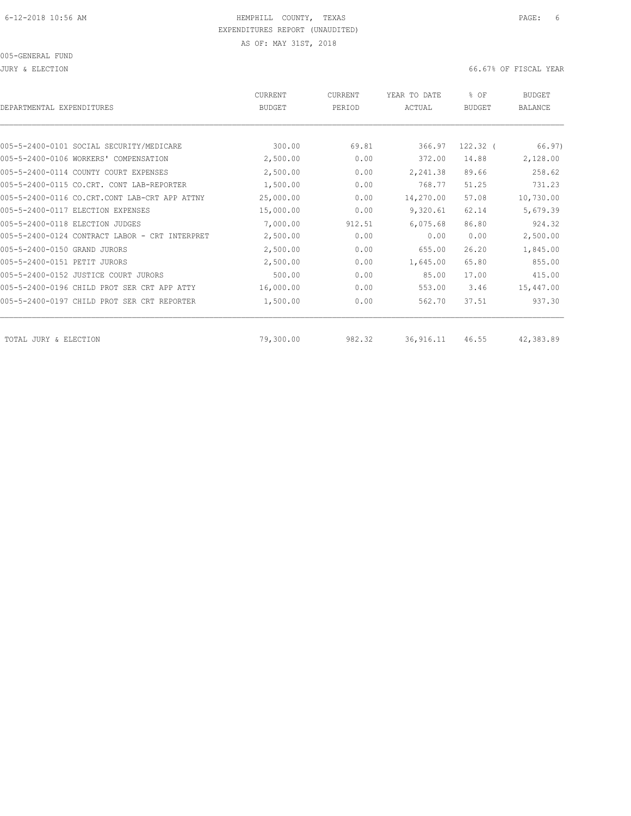JURY & ELECTION 66.67% OF FISCAL YEAR

| DEPARTMENTAL EXPENDITURES                      | <b>CURRENT</b><br><b>BUDGET</b> | CURRENT<br>PERIOD | YEAR TO DATE<br>ACTUAL | % OF<br><b>BUDGET</b> | <b>BUDGET</b><br><b>BALANCE</b> |
|------------------------------------------------|---------------------------------|-------------------|------------------------|-----------------------|---------------------------------|
|                                                |                                 |                   |                        |                       |                                 |
| 005-5-2400-0101 SOCIAL SECURITY/MEDICARE       | 300.00                          | 69.81             | 366.97                 | $122.32$ (            | 66.97)                          |
| 005-5-2400-0106 WORKERS' COMPENSATION          | 2,500.00                        | 0.00              | 372.00                 | 14.88                 | 2,128.00                        |
| 005-5-2400-0114 COUNTY COURT EXPENSES          | 2,500.00                        | 0.00              | 2,241.38               | 89.66                 | 258.62                          |
| 005-5-2400-0115 CO.CRT. CONT<br>LAB-REPORTER   | 1,500.00                        | 0.00              | 768.77                 | 51.25                 | 731.23                          |
| 005-5-2400-0116 CO.CRT.CONT LAB-CRT APP ATTNY  | 25,000.00                       | 0.00              | 14,270.00              | 57.08                 | 10,730.00                       |
| 005-5-2400-0117 ELECTION EXPENSES              | 15,000.00                       | 0.00              | 9,320.61               | 62.14                 | 5,679.39                        |
| 005-5-2400-0118 ELECTION JUDGES                | 7,000.00                        | 912.51            | 6,075.68               | 86.80                 | 924.32                          |
| 005-5-2400-0124 CONTRACT LABOR - CRT INTERPRET | 2,500.00                        | 0.00              | 0.00                   | 0.00                  | 2,500.00                        |
| 005-5-2400-0150 GRAND JURORS                   | 2,500.00                        | 0.00              | 655.00                 | 26.20                 | 1,845.00                        |
| 005-5-2400-0151 PETIT JURORS                   | 2,500.00                        | 0.00              | 1,645.00               | 65.80                 | 855.00                          |
| 005-5-2400-0152 JUSTICE COURT JURORS           | 500.00                          | 0.00              | 85.00                  | 17.00                 | 415.00                          |
| 005-5-2400-0196 CHILD PROT SER CRT APP ATTY    | 16,000.00                       | 0.00              | 553.00                 | 3.46                  | 15,447.00                       |
| 005-5-2400-0197 CHILD PROT SER CRT REPORTER    | 1,500.00                        | 0.00              | 562.70                 | 37.51                 | 937.30                          |
| TOTAL JURY & ELECTION                          | 79,300.00                       | 982.32            | 36, 916.11             | 46.55                 | 42,383.89                       |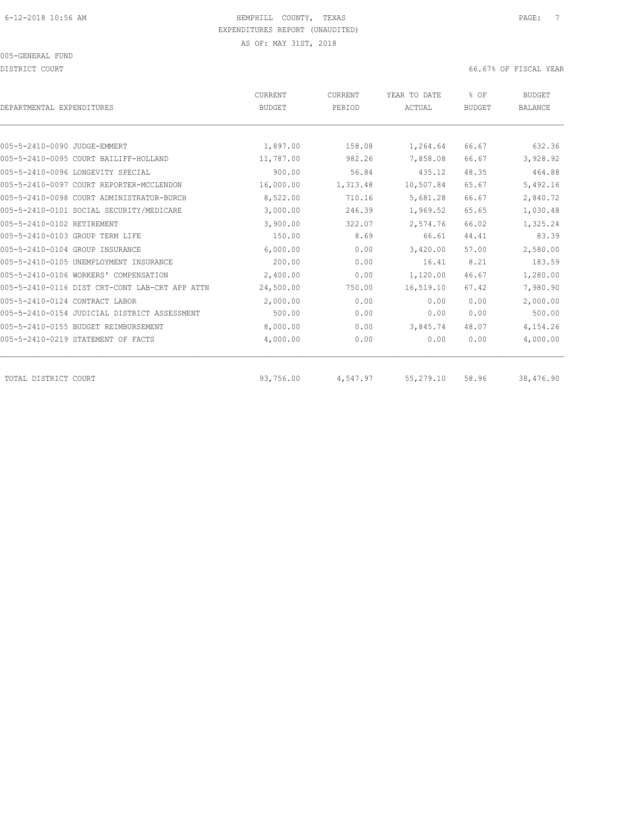DISTRICT COURT COURT COURT COURT COURT COURT COURT COURT COURT COURT COURT COURT COURT COURT COURT COURT COURT

|                                                | <b>CURRENT</b> | CURRENT  | YEAR TO DATE | % OF          | <b>BUDGET</b>  |
|------------------------------------------------|----------------|----------|--------------|---------------|----------------|
| DEPARTMENTAL EXPENDITURES                      | <b>BUDGET</b>  | PERIOD   | ACTUAL       | <b>BUDGET</b> | <b>BALANCE</b> |
|                                                |                |          |              |               |                |
| 005-5-2410-0090 JUDGE-EMMERT                   | 1,897.00       | 158.08   | 1,264.64     | 66.67         | 632.36         |
| 005-5-2410-0095 COURT BAILIFF-HOLLAND          | 11,787.00      | 982.26   | 7,858.08     | 66.67         | 3,928.92       |
| 005-5-2410-0096 LONGEVITY SPECIAL              | 900.00         | 56.84    | 435.12       | 48.35         | 464.88         |
| 005-5-2410-0097 COURT REPORTER-MCCLENDON       | 16,000.00      | 1,313.48 | 10,507.84    | 65.67         | 5,492.16       |
| 005-5-2410-0098 COURT ADMINISTRATOR-BURCH      | 8,522.00       | 710.16   | 5,681.28     | 66.67         | 2,840.72       |
| 005-5-2410-0101 SOCIAL SECURITY/MEDICARE       | 3,000.00       | 246.39   | 1,969.52     | 65.65         | 1,030.48       |
| 005-5-2410-0102 RETIREMENT                     | 3,900.00       | 322.07   | 2,574.76     | 66.02         | 1,325.24       |
| 005-5-2410-0103 GROUP TERM LIFE                | 150.00         | 8.69     | 66.61        | 44.41         | 83.39          |
| 005-5-2410-0104 GROUP INSURANCE                | 6,000.00       | 0.00     | 3,420.00     | 57.00         | 2,580.00       |
| 005-5-2410-0105 UNEMPLOYMENT INSURANCE         | 200.00         | 0.00     | 16.41        | 8.21          | 183.59         |
| 005-5-2410-0106 WORKERS' COMPENSATION          | 2,400.00       | 0.00     | 1,120.00     | 46.67         | 1,280.00       |
| 005-5-2410-0116 DIST CRT-CONT LAB-CRT APP ATTN | 24,500.00      | 750.00   | 16,519.10    | 67.42         | 7,980.90       |
| 005-5-2410-0124 CONTRACT LABOR                 | 2,000.00       | 0.00     | 0.00         | 0.00          | 2,000.00       |
| 005-5-2410-0154 JUDICIAL DISTRICT ASSESSMENT   | 500.00         | 0.00     | 0.00         | 0.00          | 500.00         |
| 005-5-2410-0155 BUDGET REIMBURSEMENT           | 8,000.00       | 0.00     | 3,845.74     | 48.07         | 4,154.26       |
| 005-5-2410-0219 STATEMENT OF FACTS             | 4,000.00       | 0.00     | 0.00         | 0.00          | 4,000.00       |
| TOTAL DISTRICT COURT                           | 93,756.00      | 4,547.97 | 55,279.10    | 58.96         | 38,476.90      |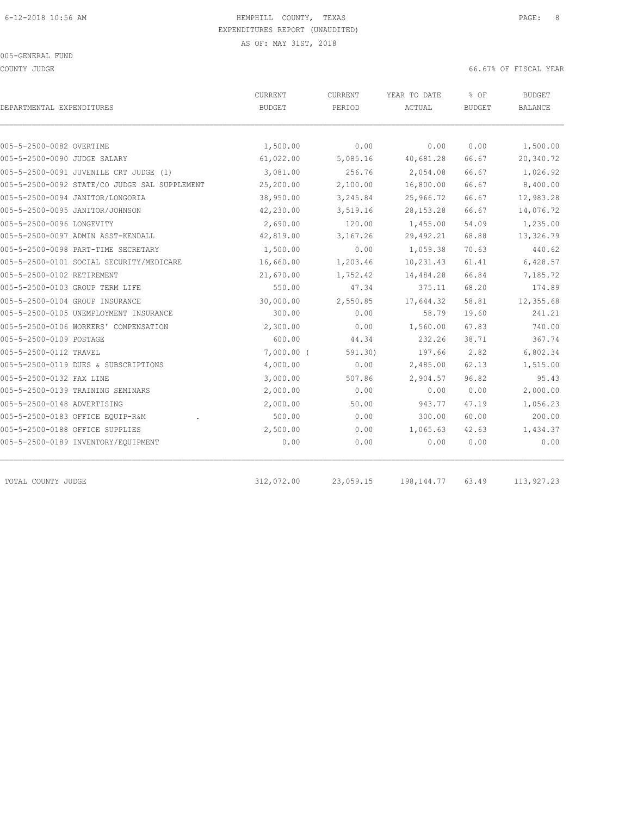COUNTY JUDGE 66.67% OF FISCAL YEAR

|                                               | CURRENT       | CURRENT   | YEAR TO DATE | % OF          | <b>BUDGET</b>  |  |
|-----------------------------------------------|---------------|-----------|--------------|---------------|----------------|--|
| DEPARTMENTAL EXPENDITURES                     | <b>BUDGET</b> | PERIOD    | ACTUAL       | <b>BUDGET</b> | <b>BALANCE</b> |  |
|                                               |               |           |              |               |                |  |
| 005-5-2500-0082 OVERTIME                      | 1,500.00      | 0.00      | 0.00         | 0.00          | 1,500.00       |  |
| 005-5-2500-0090 JUDGE SALARY                  | 61,022.00     | 5,085.16  | 40,681.28    | 66.67         | 20,340.72      |  |
| 005-5-2500-0091 JUVENILE CRT JUDGE (1)        | 3,081.00      | 256.76    | 2,054.08     | 66.67         | 1,026.92       |  |
| 005-5-2500-0092 STATE/CO JUDGE SAL SUPPLEMENT | 25,200.00     | 2,100.00  | 16,800.00    | 66.67         | 8,400.00       |  |
| 005-5-2500-0094 JANITOR/LONGORIA              | 38,950.00     | 3,245.84  | 25,966.72    | 66.67         | 12,983.28      |  |
| 005-5-2500-0095 JANITOR/JOHNSON               | 42,230.00     | 3,519.16  | 28, 153. 28  | 66.67         | 14,076.72      |  |
| 005-5-2500-0096 LONGEVITY                     | 2,690.00      | 120.00    | 1,455.00     | 54.09         | 1,235.00       |  |
| 005-5-2500-0097 ADMIN ASST-KENDALL            | 42,819.00     | 3,167.26  | 29,492.21    | 68.88         | 13,326.79      |  |
| 005-5-2500-0098 PART-TIME SECRETARY           | 1,500.00      | 0.00      | 1,059.38     | 70.63         | 440.62         |  |
| 005-5-2500-0101 SOCIAL SECURITY/MEDICARE      | 16,660.00     | 1,203.46  | 10,231.43    | 61.41         | 6,428.57       |  |
| 005-5-2500-0102 RETIREMENT                    | 21,670.00     | 1,752.42  | 14,484.28    | 66.84         | 7,185.72       |  |
| 005-5-2500-0103 GROUP TERM LIFE               | 550.00        | 47.34     | 375.11       | 68.20         | 174.89         |  |
| 005-5-2500-0104 GROUP INSURANCE               | 30,000.00     | 2,550.85  | 17,644.32    | 58.81         | 12,355.68      |  |
| 005-5-2500-0105 UNEMPLOYMENT INSURANCE        | 300.00        | 0.00      | 58.79        | 19.60         | 241.21         |  |
| 005-5-2500-0106 WORKERS' COMPENSATION         | 2,300.00      | 0.00      | 1,560.00     | 67.83         | 740.00         |  |
| 005-5-2500-0109 POSTAGE                       | 600.00        | 44.34     | 232.26       | 38.71         | 367.74         |  |
| 005-5-2500-0112 TRAVEL                        | $7,000.00$ (  | 591.30    | 197.66       | 2.82          | 6,802.34       |  |
| 005-5-2500-0119 DUES & SUBSCRIPTIONS          | 4,000.00      | 0.00      | 2,485.00     | 62.13         | 1,515.00       |  |
| 005-5-2500-0132 FAX LINE                      | 3,000.00      | 507.86    | 2,904.57     | 96.82         | 95.43          |  |
| 005-5-2500-0139 TRAINING SEMINARS             | 2,000.00      | 0.00      | 0.00         | 0.00          | 2,000.00       |  |
| 005-5-2500-0148 ADVERTISING                   | 2,000.00      | 50.00     | 943.77       | 47.19         | 1,056.23       |  |
| 005-5-2500-0183 OFFICE EQUIP-R&M              | 500.00        | 0.00      | 300.00       | 60.00         | 200.00         |  |
| 005-5-2500-0188 OFFICE SUPPLIES               | 2,500.00      | 0.00      | 1,065.63     | 42.63         | 1,434.37       |  |
| 005-5-2500-0189 INVENTORY/EQUIPMENT           | 0.00          | 0.00      | 0.00         | 0.00          | 0.00           |  |
|                                               |               |           |              |               |                |  |
| TOTAL COUNTY JUDGE                            | 312,072.00    | 23,059.15 | 198, 144. 77 | 63.49         | 113,927.23     |  |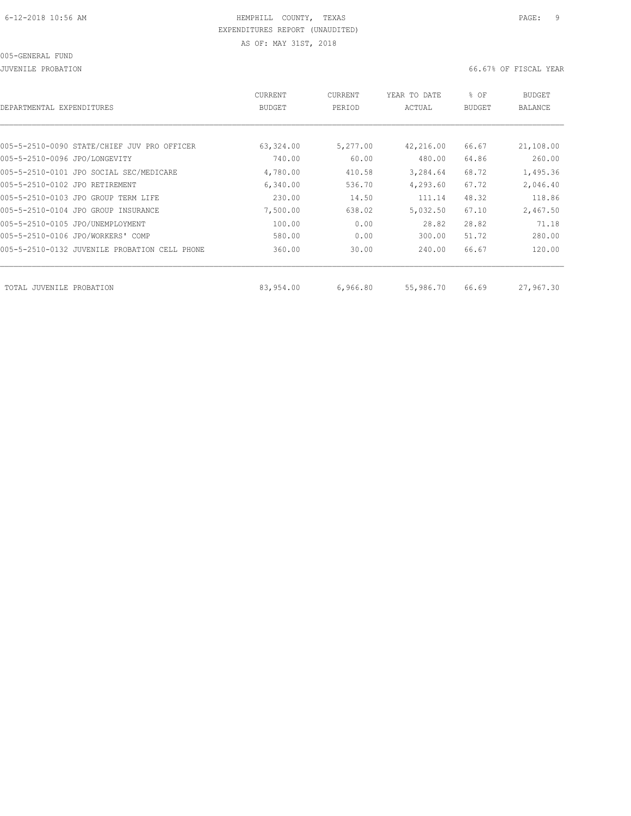#### 005-GENERAL FUND

JUVENILE PROBATION 66.67% OF FISCAL YEAR

| DEPARTMENTAL EXPENDITURES      |                                               | CURRENT<br><b>BUDGET</b> | CURRENT<br>PERIOD | YEAR TO DATE<br>ACTUAL | % OF<br><b>BUDGET</b> | <b>BUDGET</b><br><b>BALANCE</b> |
|--------------------------------|-----------------------------------------------|--------------------------|-------------------|------------------------|-----------------------|---------------------------------|
|                                |                                               |                          |                   |                        |                       |                                 |
|                                | 005-5-2510-0090 STATE/CHIEF JUV PRO OFFICER   | 63,324.00                | 5,277.00          | 42,216.00              | 66.67                 | 21,108.00                       |
| 005-5-2510-0096 JPO/LONGEVITY  |                                               | 740.00                   | 60.00             | 480.00                 | 64.86                 | 260.00                          |
|                                | 005-5-2510-0101 JPO SOCIAL SEC/MEDICARE       | 4,780.00                 | 410.58            | 3,284.64               | 68.72                 | 1,495.36                        |
| 005-5-2510-0102 JPO RETIREMENT |                                               | 6,340.00                 | 536.70            | 4,293.60               | 67.72                 | 2,046.40                        |
|                                | 005-5-2510-0103 JPO GROUP TERM LIFE           | 230.00                   | 14.50             | 111.14                 | 48.32                 | 118.86                          |
|                                | 005-5-2510-0104 JPO GROUP INSURANCE           | 7,500.00                 | 638.02            | 5,032.50               | 67.10                 | 2,467.50                        |
|                                | 005-5-2510-0105 JPO/UNEMPLOYMENT              | 100.00                   | 0.00              | 28.82                  | 28.82                 | 71.18                           |
|                                | 005-5-2510-0106 JPO/WORKERS' COMP             | 580.00                   | 0.00              | 300.00                 | 51.72                 | 280.00                          |
|                                | 005-5-2510-0132 JUVENILE PROBATION CELL PHONE | 360.00                   | 30.00             | 240.00                 | 66.67                 | 120.00                          |
| TOTAL JUVENILE                 | PROBATION                                     | 83,954.00                | 6,966.80          | 55,986.70              | 66.69                 | 27,967.30                       |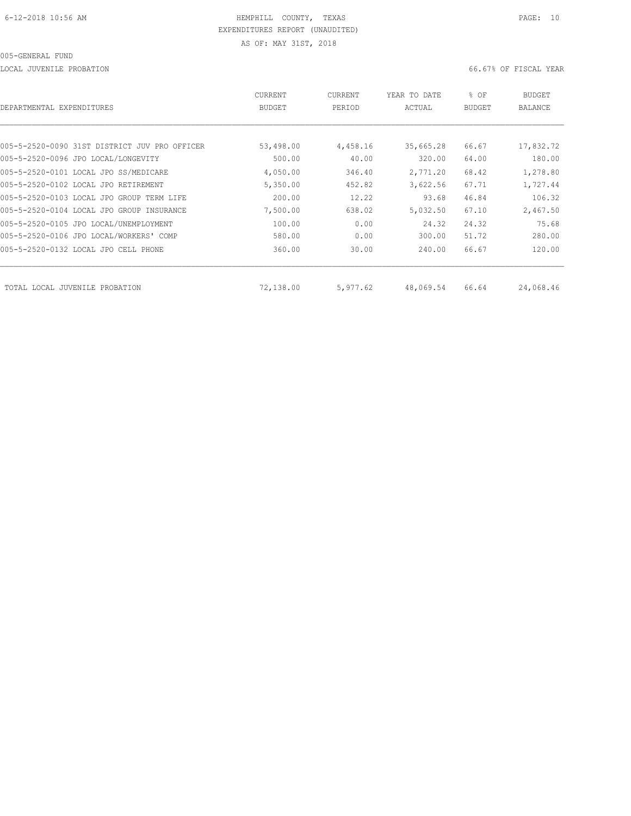LOCAL JUVENILE PROBATION 66.67% OF FISCAL YEAR

| DEPARTMENTAL EXPENDITURES                     | CURRENT<br><b>BUDGET</b> | CURRENT<br>PERIOD | YEAR TO DATE<br>ACTUAL | % OF<br><b>BUDGET</b> | BUDGET<br>BALANCE |
|-----------------------------------------------|--------------------------|-------------------|------------------------|-----------------------|-------------------|
|                                               |                          |                   |                        |                       |                   |
| 005-5-2520-0090 31ST DISTRICT JUV PRO OFFICER | 53,498.00                | 4,458.16          | 35,665.28              | 66.67                 | 17,832.72         |
| 005-5-2520-0096 JPO LOCAL/LONGEVITY           | 500.00                   | 40.00             | 320.00                 | 64.00                 | 180.00            |
| 005-5-2520-0101 LOCAL JPO SS/MEDICARE         | 4,050.00                 | 346.40            | 2,771.20               | 68.42                 | 1,278.80          |
| 005-5-2520-0102 LOCAL JPO RETIREMENT          | 5,350.00                 | 452.82            | 3,622.56               | 67.71                 | 1,727.44          |
| 005-5-2520-0103 LOCAL JPO GROUP TERM LIFE     | 200.00                   | 12.22             | 93.68                  | 46.84                 | 106.32            |
| 005-5-2520-0104 LOCAL JPO GROUP INSURANCE     | 7,500.00                 | 638.02            | 5,032.50               | 67.10                 | 2,467.50          |
| 005-5-2520-0105 JPO LOCAL/UNEMPLOYMENT        | 100.00                   | 0.00              | 24.32                  | 24.32                 | 75.68             |
| 005-5-2520-0106 JPO LOCAL/WORKERS' COMP       | 580.00                   | 0.00              | 300.00                 | 51.72                 | 280.00            |
| 005-5-2520-0132 LOCAL JPO CELL PHONE          | 360.00                   | 30.00             | 240.00                 | 66.67                 | 120.00            |
| TOTAL LOCAL JUVENILE PROBATION                | 72,138.00                | 5,977.62          | 48,069.54              | 66.64                 | 24,068.46         |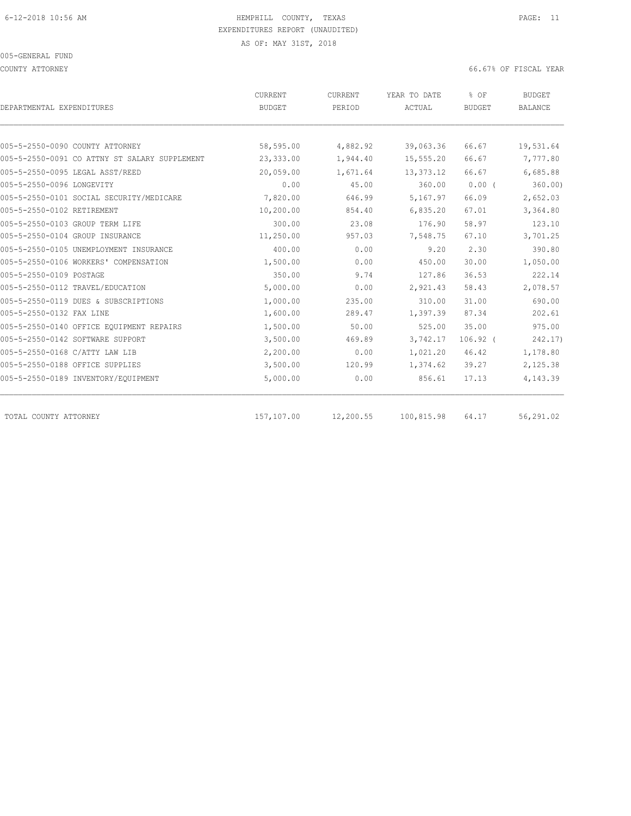#### 005-GENERAL FUND

COUNTY ATTORNEY 66.67% OF FISCAL YEAR

| DEPARTMENTAL EXPENDITURES                     | CURRENT<br><b>BUDGET</b> | CURRENT<br>PERIOD | YEAR TO DATE<br>ACTUAL | % OF<br><b>BUDGET</b> | <b>BUDGET</b><br><b>BALANCE</b> |
|-----------------------------------------------|--------------------------|-------------------|------------------------|-----------------------|---------------------------------|
|                                               |                          |                   |                        |                       |                                 |
| 005-5-2550-0090 COUNTY ATTORNEY               | 58,595.00                | 4,882.92          | 39,063.36              | 66.67                 | 19,531.64                       |
| 005-5-2550-0091 CO ATTNY ST SALARY SUPPLEMENT | 23,333.00                | 1,944.40          | 15,555.20              | 66.67                 | 7,777.80                        |
| 005-5-2550-0095 LEGAL ASST/REED               | 20,059.00                | 1,671.64          | 13,373.12              | 66.67                 | 6,685.88                        |
| 005-5-2550-0096 LONGEVITY                     | 0.00                     | 45.00             | 360.00                 | 0.00(                 | $360.00$ )                      |
| 005-5-2550-0101 SOCIAL SECURITY/MEDICARE      | 7,820.00                 | 646.99            | 5,167.97               | 66.09                 | 2,652.03                        |
| 005-5-2550-0102 RETIREMENT                    | 10,200.00                | 854.40            | 6,835.20               | 67.01                 | 3,364.80                        |
| 005-5-2550-0103 GROUP TERM LIFE               | 300.00                   | 23.08             | 176.90                 | 58.97                 | 123.10                          |
| 005-5-2550-0104 GROUP INSURANCE               | 11,250.00                | 957.03            | 7,548.75               | 67.10                 | 3,701.25                        |
| 005-5-2550-0105 UNEMPLOYMENT INSURANCE        | 400.00                   | 0.00              | 9.20                   | 2.30                  | 390.80                          |
| 005-5-2550-0106 WORKERS' COMPENSATION         | 1,500.00                 | 0.00              | 450.00                 | 30.00                 | 1,050.00                        |
| 005-5-2550-0109 POSTAGE                       | 350.00                   | 9.74              | 127.86                 | 36.53                 | 222.14                          |
| 005-5-2550-0112 TRAVEL/EDUCATION              | 5,000.00                 | 0.00              | 2,921.43               | 58.43                 | 2,078.57                        |
| 005-5-2550-0119 DUES & SUBSCRIPTIONS          | 1,000.00                 | 235.00            | 310.00                 | 31.00                 | 690.00                          |
| 005-5-2550-0132 FAX LINE                      | 1,600.00                 | 289.47            | 1,397.39               | 87.34                 | 202.61                          |
| 005-5-2550-0140 OFFICE EOUIPMENT REPAIRS      | 1,500.00                 | 50.00             | 525.00                 | 35.00                 | 975.00                          |
| 005-5-2550-0142 SOFTWARE SUPPORT              | 3,500.00                 | 469.89            | 3,742.17               | $106.92$ (            | 242.17)                         |
| 005-5-2550-0168 C/ATTY LAW LIB                | 2,200.00                 | 0.00              | 1,021.20               | 46.42                 | 1,178.80                        |
| 005-5-2550-0188 OFFICE SUPPLIES               | 3,500.00                 | 120.99            | 1,374.62               | 39.27                 | 2,125.38                        |
| 005-5-2550-0189 INVENTORY/EQUIPMENT           | 5,000.00                 | 0.00              | 856.61                 | 17.13                 | 4,143.39                        |
| TOTAL COUNTY ATTORNEY                         | 157,107.00               | 12,200.55         | 100,815.98             | 64.17                 | 56,291.02                       |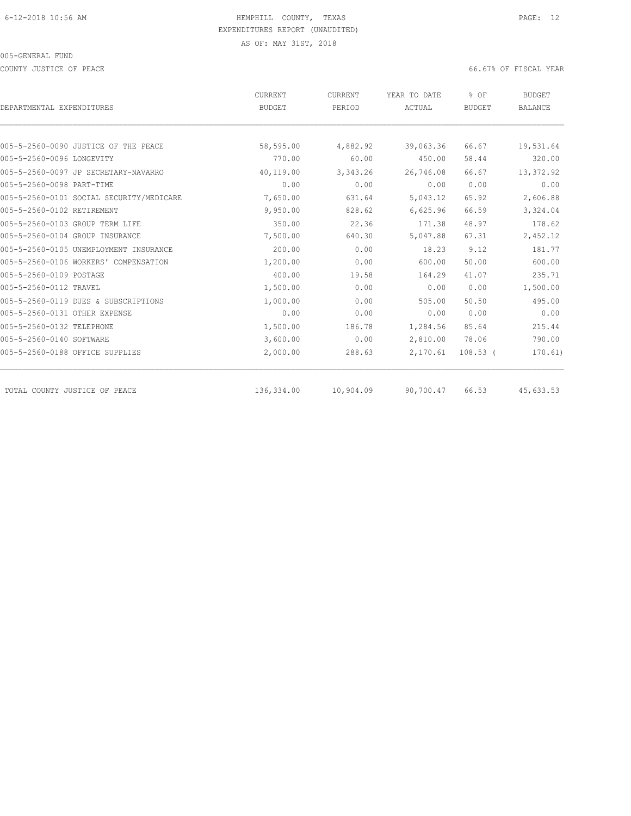COUNTY JUSTICE OF PEACE **EXECUTE OF PEACE** 66.67% OF FISCAL YEAR

|                                          | CURRENT       | CURRENT   | YEAR TO DATE | % OF          | <b>BUDGET</b>  |
|------------------------------------------|---------------|-----------|--------------|---------------|----------------|
| DEPARTMENTAL EXPENDITURES                | <b>BUDGET</b> | PERIOD    | ACTUAL       | <b>BUDGET</b> | <b>BALANCE</b> |
|                                          |               |           |              |               |                |
| 005-5-2560-0090 JUSTICE OF THE PEACE     | 58,595.00     | 4,882.92  | 39,063.36    | 66.67         | 19,531.64      |
| 005-5-2560-0096 LONGEVITY                | 770.00        | 60.00     | 450.00       | 58.44         | 320.00         |
| 005-5-2560-0097 JP SECRETARY-NAVARRO     | 40,119.00     | 3,343.26  | 26,746.08    | 66.67         | 13,372.92      |
| 005-5-2560-0098 PART-TIME                | 0.00          | 0.00      | 0.00         | 0.00          | 0.00           |
| 005-5-2560-0101 SOCIAL SECURITY/MEDICARE | 7,650.00      | 631.64    | 5,043.12     | 65.92         | 2,606.88       |
| 005-5-2560-0102 RETIREMENT               | 9,950.00      | 828.62    | 6,625.96     | 66.59         | 3,324.04       |
| 005-5-2560-0103 GROUP TERM LIFE          | 350.00        | 22.36     | 171.38       | 48.97         | 178.62         |
| 005-5-2560-0104 GROUP INSURANCE          | 7,500.00      | 640.30    | 5,047.88     | 67.31         | 2,452.12       |
| 005-5-2560-0105 UNEMPLOYMENT INSURANCE   | 200.00        | 0.00      | 18.23        | 9.12          | 181.77         |
| 005-5-2560-0106 WORKERS' COMPENSATION    | 1,200.00      | 0.00      | 600.00       | 50.00         | 600.00         |
| 005-5-2560-0109 POSTAGE                  | 400.00        | 19.58     | 164.29       | 41.07         | 235.71         |
| 005-5-2560-0112 TRAVEL                   | 1,500.00      | 0.00      | 0.00         | 0.00          | 1,500.00       |
| 005-5-2560-0119 DUES & SUBSCRIPTIONS     | 1,000.00      | 0.00      | 505.00       | 50.50         | 495.00         |
| 005-5-2560-0131 OTHER EXPENSE            | 0.00          | 0.00      | 0.00         | 0.00          | 0.00           |
| 005-5-2560-0132 TELEPHONE                | 1,500.00      | 186.78    | 1,284.56     | 85.64         | 215.44         |
| 005-5-2560-0140 SOFTWARE                 | 3,600.00      | 0.00      | 2,810.00     | 78.06         | 790.00         |
| 005-5-2560-0188 OFFICE SUPPLIES          | 2,000.00      | 288.63    | 2,170.61     | $108.53$ (    | 170.61)        |
| TOTAL COUNTY JUSTICE OF PEACE            | 136,334.00    | 10,904.09 | 90,700.47    | 66.53         | 45,633.53      |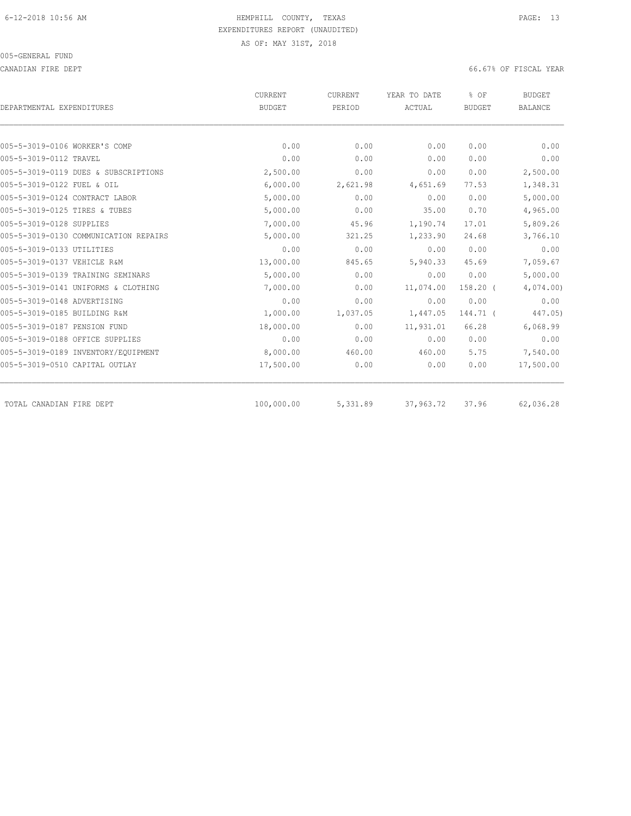CANADIAN FIRE DEPT 66.67% OF FISCAL YEAR

|                                       | <b>CURRENT</b> | CURRENT  | YEAR TO DATE | % OF          | <b>BUDGET</b>  |  |
|---------------------------------------|----------------|----------|--------------|---------------|----------------|--|
| DEPARTMENTAL EXPENDITURES             | <b>BUDGET</b>  | PERIOD   | ACTUAL       | <b>BUDGET</b> | <b>BALANCE</b> |  |
| 005-5-3019-0106 WORKER'S COMP         | 0.00           | 0.00     | 0.00         | 0.00          | 0.00           |  |
| 005-5-3019-0112 TRAVEL                | 0.00           | 0.00     | 0.00         | 0.00          | 0.00           |  |
| 005-5-3019-0119 DUES & SUBSCRIPTIONS  | 2,500.00       | 0.00     | 0.00         | 0.00          | 2,500.00       |  |
| 005-5-3019-0122 FUEL & OIL            | 6,000.00       | 2,621.98 | 4,651.69     | 77.53         | 1,348.31       |  |
| 005-5-3019-0124 CONTRACT LABOR        | 5,000.00       | 0.00     | 0.00         | 0.00          | 5,000.00       |  |
| 005-5-3019-0125 TIRES & TUBES         | 5,000.00       | 0.00     | 35.00        | 0.70          | 4,965.00       |  |
| 005-5-3019-0128 SUPPLIES              | 7,000.00       | 45.96    | 1,190.74     | 17.01         | 5,809.26       |  |
| 005-5-3019-0130 COMMUNICATION REPAIRS | 5,000.00       | 321.25   | 1,233.90     | 24.68         | 3,766.10       |  |
| 005-5-3019-0133 UTILITIES             | 0.00           | 0.00     | 0.00         | 0.00          | 0.00           |  |
| 005-5-3019-0137 VEHICLE R&M           | 13,000.00      | 845.65   | 5,940.33     | 45.69         | 7,059.67       |  |
| 005-5-3019-0139 TRAINING SEMINARS     | 5,000.00       | 0.00     | 0.00         | 0.00          | 5,000.00       |  |
| 005-5-3019-0141 UNIFORMS & CLOTHING   | 7,000.00       | 0.00     | 11,074.00    | $158.20$ (    | 4,074.00       |  |
| 005-5-3019-0148 ADVERTISING           | 0.00           | 0.00     | 0.00         | 0.00          | 0.00           |  |
| 005-5-3019-0185 BUILDING R&M          | 1,000.00       | 1,037.05 | 1,447.05     | 144.71 (      | 447.05)        |  |
| 005-5-3019-0187 PENSION FUND          | 18,000.00      | 0.00     | 11,931.01    | 66.28         | 6,068.99       |  |
| 005-5-3019-0188 OFFICE SUPPLIES       | 0.00           | 0.00     | 0.00         | 0.00          | 0.00           |  |
| 005-5-3019-0189 INVENTORY/EOUIPMENT   | 8,000.00       | 460.00   | 460.00       | 5.75          | 7,540.00       |  |
| 005-5-3019-0510 CAPITAL OUTLAY        | 17,500.00      | 0.00     | 0.00         | 0.00          | 17,500.00      |  |
| TOTAL CANADIAN FIRE DEPT              | 100,000.00     | 5,331.89 | 37,963.72    | 37.96         | 62,036.28      |  |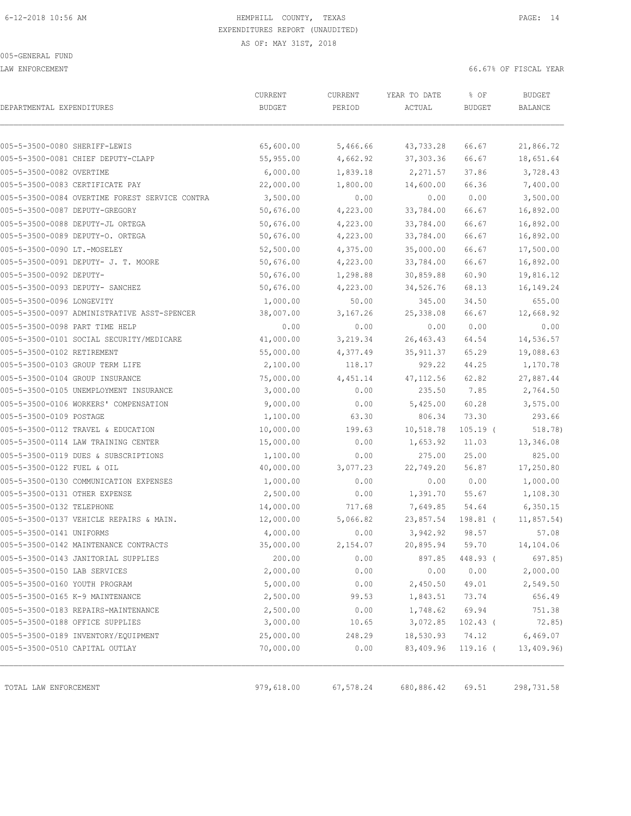LAW ENFORCEMENT 66.67% OF FISCAL YEAR

| DEPARTMENTAL EXPENDITURES                      | CURRENT<br><b>BUDGET</b> | CURRENT<br>PERIOD | YEAR TO DATE<br>ACTUAL | % OF<br><b>BUDGET</b> | <b>BUDGET</b><br>BALANCE |
|------------------------------------------------|--------------------------|-------------------|------------------------|-----------------------|--------------------------|
|                                                |                          |                   |                        |                       |                          |
| 005-5-3500-0080 SHERIFF-LEWIS                  | 65,600.00                | 5,466.66          | 43,733.28              | 66.67                 | 21,866.72                |
| 005-5-3500-0081 CHIEF DEPUTY-CLAPP             | 55,955.00                | 4,662.92          | 37, 303.36             | 66.67                 | 18,651.64                |
| 005-5-3500-0082 OVERTIME                       | 6,000.00                 | 1,839.18          | 2,271.57               | 37.86                 | 3,728.43                 |
| 005-5-3500-0083 CERTIFICATE PAY                | 22,000.00                | 1,800.00          | 14,600.00              | 66.36                 | 7,400.00                 |
| 005-5-3500-0084 OVERTIME FOREST SERVICE CONTRA | 3,500.00                 | 0.00              | 0.00                   | 0.00                  | 3,500.00                 |
| 005-5-3500-0087 DEPUTY-GREGORY                 | 50,676.00                | 4,223.00          | 33,784.00              | 66.67                 | 16,892.00                |
| 005-5-3500-0088 DEPUTY-JL ORTEGA               | 50,676.00                | 4,223.00          | 33,784.00              | 66.67                 | 16,892.00                |
| 005-5-3500-0089 DEPUTY-O. ORTEGA               | 50,676.00                | 4,223.00          | 33,784.00              | 66.67                 | 16,892.00                |
| 005-5-3500-0090 LT.-MOSELEY                    | 52,500.00                | 4,375.00          | 35,000.00              | 66.67                 | 17,500.00                |
| 005-5-3500-0091 DEPUTY- J. T. MOORE            | 50,676.00                | 4,223.00          | 33,784.00              | 66.67                 | 16,892.00                |
| 005-5-3500-0092 DEPUTY-                        | 50,676.00                | 1,298.88          | 30,859.88              | 60.90                 | 19,816.12                |
| 005-5-3500-0093 DEPUTY- SANCHEZ                | 50,676.00                | 4,223.00          | 34,526.76              | 68.13                 | 16,149.24                |
| 005-5-3500-0096 LONGEVITY                      | 1,000.00                 | 50.00             | 345.00                 | 34.50                 | 655.00                   |
| 005-5-3500-0097 ADMINISTRATIVE ASST-SPENCER    | 38,007.00                | 3,167.26          | 25,338.08              | 66.67                 | 12,668.92                |
| 005-5-3500-0098 PART TIME HELP                 | 0.00                     | 0.00              | 0.00                   | 0.00                  | 0.00                     |
| 005-5-3500-0101 SOCIAL SECURITY/MEDICARE       | 41,000.00                | 3,219.34          | 26,463.43              | 64.54                 | 14,536.57                |
| 005-5-3500-0102 RETIREMENT                     | 55,000.00                | 4,377.49          | 35, 911.37             | 65.29                 | 19,088.63                |
| 005-5-3500-0103 GROUP TERM LIFE                | 2,100.00                 | 118.17            | 929.22                 | 44.25                 | 1,170.78                 |
| 005-5-3500-0104 GROUP INSURANCE                | 75,000.00                | 4,451.14          | 47, 112.56             | 62.82                 | 27,887.44                |
| 005-5-3500-0105 UNEMPLOYMENT INSURANCE         | 3,000.00                 | 0.00              | 235.50                 | 7.85                  | 2,764.50                 |
| 005-5-3500-0106 WORKERS' COMPENSATION          | 9,000.00                 | 0.00              | 5,425.00               | 60.28                 | 3,575.00                 |
| 005-5-3500-0109 POSTAGE                        | 1,100.00                 | 63.30             | 806.34                 | 73.30                 | 293.66                   |
| 005-5-3500-0112 TRAVEL & EDUCATION             | 10,000.00                | 199.63            | 10,518.78              | $105.19$ (            | 518.78)                  |
| 005-5-3500-0114 LAW TRAINING CENTER            | 15,000.00                | 0.00              | 1,653.92               | 11.03                 | 13,346.08                |
| 005-5-3500-0119 DUES & SUBSCRIPTIONS           | 1,100.00                 | 0.00              | 275.00                 | 25.00                 | 825.00                   |
| 005-5-3500-0122 FUEL & OIL                     | 40,000.00                | 3,077.23          | 22,749.20              | 56.87                 | 17,250.80                |
| 005-5-3500-0130 COMMUNICATION EXPENSES         | 1,000.00                 | 0.00              | 0.00                   | 0.00                  | 1,000.00                 |
| 005-5-3500-0131 OTHER EXPENSE                  | 2,500.00                 | 0.00              | 1,391.70               | 55.67                 | 1,108.30                 |
| 005-5-3500-0132 TELEPHONE                      | 14,000.00                | 717.68            | 7,649.85               | 54.64                 | 6,350.15                 |
| 005-5-3500-0137 VEHICLE REPAIRS & MAIN.        | 12,000.00                | 5,066.82          | 23,857.54              | 198.81 (              | 11,857.54)               |
| 005-5-3500-0141 UNIFORMS                       | 4,000.00                 | 0.00              | 3,942.92               | 98.57                 | 57.08                    |
| 005-5-3500-0142 MAINTENANCE CONTRACTS          | 35,000.00                | 2,154.07          | 20,895.94              | 59.70                 | 14,104.06                |
| 005-5-3500-0143 JANITORIAL SUPPLIES            | 200.00                   | 0.00              | 897.85                 | 448.93 (              | 697.85)                  |
| 005-5-3500-0150 LAB SERVICES                   | 2,000.00                 | 0.00              | 0.00                   | 0.00                  | 2,000.00                 |
| 005-5-3500-0160 YOUTH PROGRAM                  | 5,000.00                 | 0.00              | 2,450.50               | 49.01                 | 2,549.50                 |
| 005-5-3500-0165 K-9 MAINTENANCE                | 2,500.00                 | 99.53             | 1,843.51               | 73.74                 | 656.49                   |
| 005-5-3500-0183 REPAIRS-MAINTENANCE            | 2,500.00                 | 0.00              | 1,748.62               | 69.94                 | 751.38                   |
| 005-5-3500-0188 OFFICE SUPPLIES                | 3,000.00                 | 10.65             | 3,072.85               | $102.43$ (            | 72.85)                   |
| 005-5-3500-0189 INVENTORY/EQUIPMENT            | 25,000.00                | 248.29            | 18,530.93              | 74.12                 | 6,469.07                 |
| 005-5-3500-0510 CAPITAL OUTLAY                 | 70,000.00                | 0.00              | 83,409.96              | $119.16$ (            | 13,409.96                |
|                                                | 979,618.00               |                   |                        |                       |                          |
| TOTAL LAW ENFORCEMENT                          |                          | 67,578.24         | 680,886.42             | 69.51                 | 298,731.58               |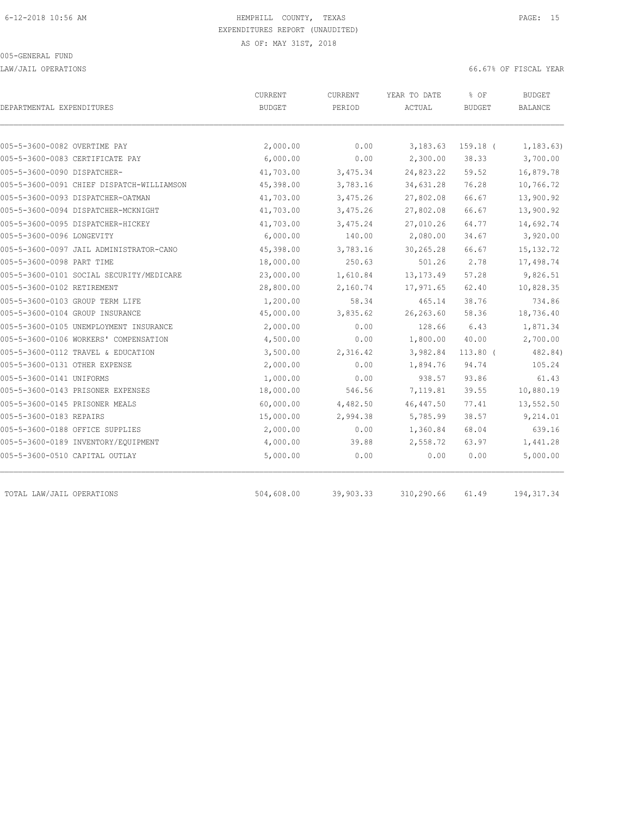LAW/JAIL OPERATIONS 66.67% OF FISCAL YEAR

| DEPARTMENTAL EXPENDITURES                 | CURRENT<br><b>BUDGET</b> | <b>CURRENT</b><br>PERIOD | YEAR TO DATE<br>ACTUAL | % OF<br><b>BUDGET</b> | <b>BUDGET</b><br>BALANCE |
|-------------------------------------------|--------------------------|--------------------------|------------------------|-----------------------|--------------------------|
|                                           |                          |                          |                        |                       |                          |
| 005-5-3600-0082 OVERTIME PAY              | 2,000.00                 | 0.00                     | 3,183.63               | 159.18 (              | 1, 183.63)               |
| 005-5-3600-0083 CERTIFICATE PAY           | 6,000.00                 | 0.00                     | 2,300.00               | 38.33                 | 3,700.00                 |
| 005-5-3600-0090 DISPATCHER-               | 41,703.00                | 3,475.34                 | 24,823.22              | 59.52                 | 16,879.78                |
| 005-5-3600-0091 CHIEF DISPATCH-WILLIAMSON | 45,398.00                | 3,783.16                 | 34,631.28              | 76.28                 | 10,766.72                |
| 005-5-3600-0093 DISPATCHER-OATMAN         | 41,703.00                | 3,475.26                 | 27,802.08              | 66.67                 | 13,900.92                |
| 005-5-3600-0094 DISPATCHER-MCKNIGHT       | 41,703.00                | 3,475.26                 | 27,802.08              | 66.67                 | 13,900.92                |
| 005-5-3600-0095 DISPATCHER-HICKEY         | 41,703.00                | 3,475.24                 | 27,010.26              | 64.77                 | 14,692.74                |
| 005-5-3600-0096 LONGEVITY                 | 6,000.00                 | 140.00                   | 2,080.00               | 34.67                 | 3,920.00                 |
| 005-5-3600-0097 JAIL ADMINISTRATOR-CANO   | 45,398.00                | 3,783.16                 | 30,265.28              | 66.67                 | 15, 132.72               |
| 005-5-3600-0098 PART TIME                 | 18,000.00                | 250.63                   | 501.26                 | 2.78                  | 17,498.74                |
| 005-5-3600-0101 SOCIAL SECURITY/MEDICARE  | 23,000.00                | 1,610.84                 | 13, 173.49             | 57.28                 | 9,826.51                 |
| 005-5-3600-0102 RETIREMENT                | 28,800.00                | 2,160.74                 | 17,971.65              | 62.40                 | 10,828.35                |
| 005-5-3600-0103 GROUP TERM LIFE           | 1,200.00                 | 58.34                    | 465.14                 | 38.76                 | 734.86                   |
| 005-5-3600-0104 GROUP INSURANCE           | 45,000.00                | 3,835.62                 | 26, 263.60             | 58.36                 | 18,736.40                |
| 005-5-3600-0105 UNEMPLOYMENT INSURANCE    | 2,000.00                 | 0.00                     | 128.66                 | 6.43                  | 1,871.34                 |
| 005-5-3600-0106 WORKERS' COMPENSATION     | 4,500.00                 | 0.00                     | 1,800.00               | 40.00                 | 2,700.00                 |
| 005-5-3600-0112 TRAVEL & EDUCATION        | 3,500.00                 | 2,316.42                 | 3,982.84               | $113.80$ (            | 482.84)                  |
| 005-5-3600-0131 OTHER EXPENSE             | 2,000.00                 | 0.00                     | 1,894.76               | 94.74                 | 105.24                   |
| 005-5-3600-0141 UNIFORMS                  | 1,000.00                 | 0.00                     | 938.57                 | 93.86                 | 61.43                    |
| 005-5-3600-0143 PRISONER EXPENSES         | 18,000.00                | 546.56                   | 7,119.81               | 39.55                 | 10,880.19                |
| 005-5-3600-0145 PRISONER MEALS            | 60,000.00                | 4,482.50                 | 46, 447.50             | 77.41                 | 13,552.50                |
| 005-5-3600-0183 REPAIRS                   | 15,000.00                | 2,994.38                 | 5,785.99               | 38.57                 | 9,214.01                 |
| 005-5-3600-0188 OFFICE SUPPLIES           | 2,000.00                 | 0.00                     | 1,360.84               | 68.04                 | 639.16                   |
| 005-5-3600-0189 INVENTORY/EQUIPMENT       | 4,000.00                 | 39.88                    | 2,558.72               | 63.97                 | 1,441.28                 |
| 005-5-3600-0510 CAPITAL OUTLAY            | 5,000.00                 | 0.00                     | 0.00                   | 0.00                  | 5,000.00                 |
| TOTAL LAW/JAIL OPERATIONS                 | 504,608.00               | 39,903.33                | 310,290.66             | 61.49                 | 194, 317.34              |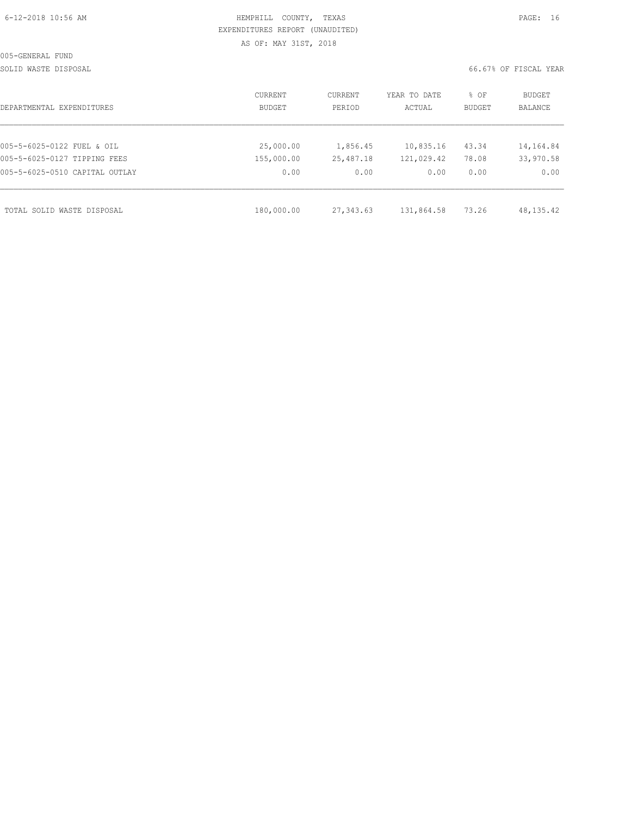|  | 6-12-2018 10:56 AM |  |
|--|--------------------|--|
|  |                    |  |

# HEMPHILL COUNTY, TEXAS **Example 20:56 AM HEMPHILL** COUNTY, TEXAS EXPENDITURES REPORT (UNAUDITED) AS OF: MAY 31ST, 2018

SOLID WASTE DISPOSAL 66.67% OF FISCAL YEAR

| DEPARTMENTAL EXPENDITURES      | CURRENT<br><b>BUDGET</b> | CURRENT<br>PERIOD | YEAR TO DATE<br>ACTUAL | % OF<br><b>BUDGET</b> | BUDGET<br>BALANCE |
|--------------------------------|--------------------------|-------------------|------------------------|-----------------------|-------------------|
|                                |                          |                   |                        |                       |                   |
| 005-5-6025-0122 FUEL & OIL     | 25,000.00                | 1,856.45          | 10,835.16              | 43.34                 | 14,164.84         |
| 005-5-6025-0127 TIPPING FEES   | 155,000.00               | 25,487.18         | 121,029.42             | 78.08                 | 33,970.58         |
| 005-5-6025-0510 CAPITAL OUTLAY | 0.00                     | 0.00              | 0.00                   | 0.00                  | 0.00              |
| TOTAL SOLID WASTE DISPOSAL     | 180,000.00               | 27,343.63         | 131,864.58             | 73.26                 | 48, 135. 42       |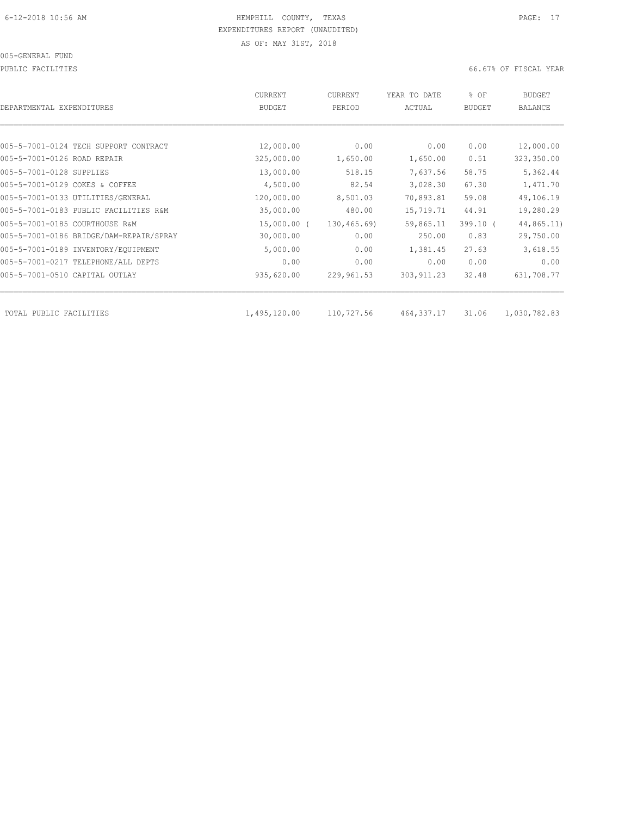PUBLIC FACILITIES 66.67% OF FISCAL YEAR

| DEPARTMENTAL EXPENDITURES               | <b>CURRENT</b><br><b>BUDGET</b> | CURRENT<br>PERIOD | YEAR TO DATE<br>ACTUAL | % OF<br><b>BUDGET</b> | BUDGET<br><b>BALANCE</b> |
|-----------------------------------------|---------------------------------|-------------------|------------------------|-----------------------|--------------------------|
|                                         |                                 |                   |                        |                       |                          |
| 005-5-7001-0124 TECH SUPPORT CONTRACT   | 12,000.00                       | 0.00              | 0.00                   | 0.00                  | 12,000.00                |
| 005-5-7001-0126 ROAD REPAIR             | 325,000.00                      | 1,650.00          | 1,650.00               | 0.51                  | 323,350.00               |
| 005-5-7001-0128 SUPPLIES                | 13,000.00                       | 518.15            | 7,637.56               | 58.75                 | 5,362.44                 |
| 005-5-7001-0129 COKES & COFFEE          | 4,500.00                        | 82.54             | 3,028.30               | 67.30                 | 1,471.70                 |
| 005-5-7001-0133 UTILITIES/GENERAL       | 120,000.00                      | 8,501.03          | 70,893.81              | 59.08                 | 49,106.19                |
| 005-5-7001-0183 PUBLIC FACILITIES R&M   | 35,000.00                       | 480.00            | 15,719.71              | 44.91                 | 19,280.29                |
| 005-5-7001-0185 COURTHOUSE R&M          | $15,000.00$ (                   | 130, 465.69       | 59,865.11              | $399.10$ (            | 44,865.11)               |
| 005-5-7001-0186 BRIDGE/DAM-REPAIR/SPRAY | 30,000.00                       | 0.00              | 250.00                 | 0.83                  | 29,750.00                |
| 005-5-7001-0189 INVENTORY/EQUIPMENT     | 5,000.00                        | 0.00              | 1,381.45               | 27.63                 | 3,618.55                 |
| 005-5-7001-0217 TELEPHONE/ALL DEPTS     | 0.00                            | 0.00              | 0.00                   | 0.00                  | 0.00                     |
| 005-5-7001-0510 CAPITAL OUTLAY          | 935,620.00                      | 229,961.53        | 303, 911.23            | 32.48                 | 631,708.77               |
|                                         |                                 |                   |                        |                       |                          |
| TOTAL PUBLIC FACILITIES                 | 1,495,120.00                    | 110,727.56        | 464,337.17             | 31.06                 | 1,030,782.83             |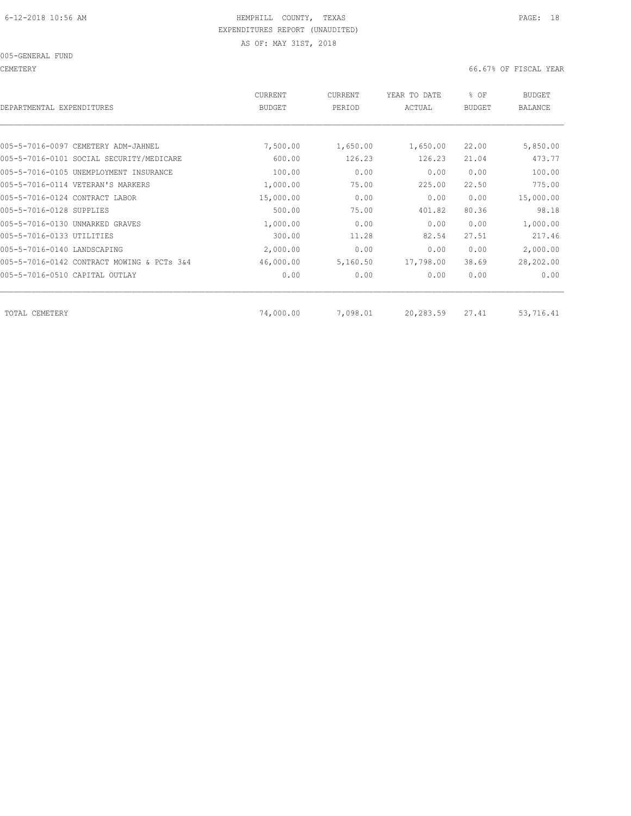005-GENERAL FUND

CEMETERY 66.67% OF FISCAL YEAR

| DEPARTMENTAL EXPENDITURES                  | <b>CURRENT</b><br><b>BUDGET</b> | CURRENT<br>PERIOD | YEAR TO DATE<br>ACTUAL | % OF<br><b>BUDGET</b> | <b>BUDGET</b><br><b>BALANCE</b> |
|--------------------------------------------|---------------------------------|-------------------|------------------------|-----------------------|---------------------------------|
|                                            |                                 |                   |                        |                       |                                 |
| 005-5-7016-0097 CEMETERY ADM-JAHNEL        | 7,500.00                        | 1,650.00          | 1,650.00               | 22,00                 | 5,850.00                        |
| 005-5-7016-0101 SOCIAL SECURITY/MEDICARE   | 600.00                          | 126.23            | 126.23                 | 21.04                 | 473.77                          |
| 005-5-7016-0105 UNEMPLOYMENT INSURANCE     | 100.00                          | 0.00              | 0.00                   | 0.00                  | 100.00                          |
| 005-5-7016-0114 VETERAN'S MARKERS          | 1,000.00                        | 75.00             | 225.00                 | 22.50                 | 775.00                          |
| 005-5-7016-0124 CONTRACT LABOR             | 15,000.00                       | 0.00              | 0.00                   | 0.00                  | 15,000.00                       |
| 005-5-7016-0128 SUPPLIES                   | 500.00                          | 75.00             | 401.82                 | 80.36                 | 98.18                           |
| 005-5-7016-0130 UNMARKED GRAVES            | 1,000.00                        | 0.00              | 0.00                   | 0.00                  | 1,000.00                        |
| 005-5-7016-0133 UTILITIES                  | 300.00                          | 11.28             | 82.54                  | 27.51                 | 217.46                          |
| 005-5-7016-0140 LANDSCAPING                | 2,000.00                        | 0.00              | 0.00                   | 0.00                  | 2,000.00                        |
| 005-5-7016-0142 CONTRACT MOWING & PCTs 3&4 | 46,000.00                       | 5,160.50          | 17,798.00              | 38.69                 | 28,202.00                       |
| 005-5-7016-0510 CAPITAL OUTLAY             | 0.00                            | 0.00              | 0.00                   | 0.00                  | 0.00                            |
| TOTAL CEMETERY                             | 74,000.00                       | 7,098.01          | 20,283.59              | 27.41                 | 53,716.41                       |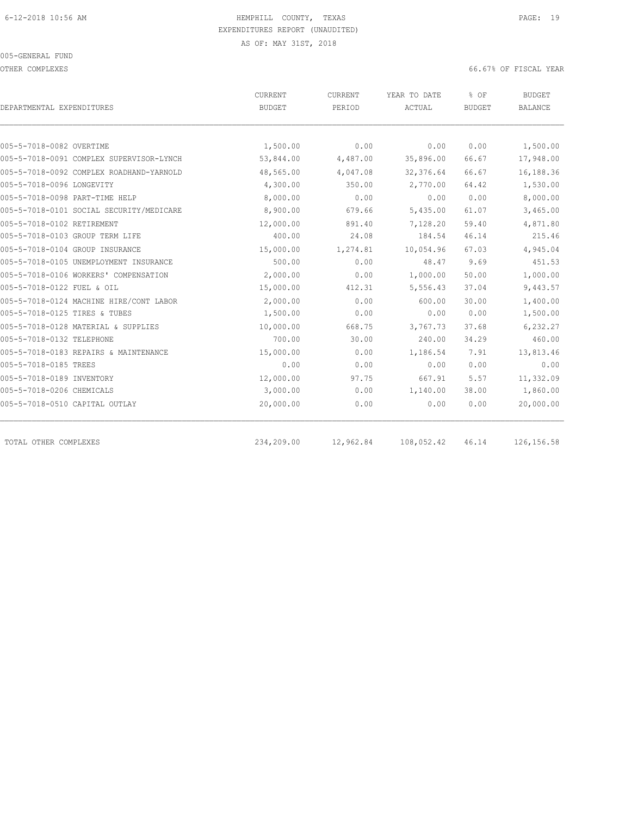#### 005-GENERAL FUND

OTHER COMPLEXES 66.67% OF FISCAL YEAR

|                                          | <b>CURRENT</b> | CURRENT   | YEAR TO DATE  | % OF          | <b>BUDGET</b>  |  |
|------------------------------------------|----------------|-----------|---------------|---------------|----------------|--|
| DEPARTMENTAL EXPENDITURES                | <b>BUDGET</b>  | PERIOD    | <b>ACTUAL</b> | <b>BUDGET</b> | <b>BALANCE</b> |  |
|                                          |                |           |               |               |                |  |
| 005-5-7018-0082 OVERTIME                 | 1,500.00       | 0.00      | 0.00          | 0.00          | 1,500.00       |  |
| 005-5-7018-0091 COMPLEX SUPERVISOR-LYNCH | 53,844.00      | 4,487.00  | 35,896.00     | 66.67         | 17,948.00      |  |
| 005-5-7018-0092 COMPLEX ROADHAND-YARNOLD | 48,565.00      | 4,047.08  | 32,376.64     | 66.67         | 16,188.36      |  |
| 005-5-7018-0096 LONGEVITY                | 4,300.00       | 350.00    | 2,770.00      | 64.42         | 1,530.00       |  |
| 005-5-7018-0098 PART-TIME HELP           | 8,000.00       | 0.00      | 0.00          | 0.00          | 8,000.00       |  |
| 005-5-7018-0101 SOCIAL SECURITY/MEDICARE | 8,900.00       | 679.66    | 5,435.00      | 61.07         | 3,465.00       |  |
| 005-5-7018-0102 RETIREMENT               | 12,000.00      | 891.40    | 7,128.20      | 59.40         | 4,871.80       |  |
| 005-5-7018-0103 GROUP TERM LIFE          | 400.00         | 24.08     | 184.54        | 46.14         | 215.46         |  |
| 005-5-7018-0104 GROUP INSURANCE          | 15,000.00      | 1,274.81  | 10,054.96     | 67.03         | 4,945.04       |  |
| 005-5-7018-0105 UNEMPLOYMENT INSURANCE   | 500.00         | 0.00      | 48.47         | 9.69          | 451.53         |  |
| 005-5-7018-0106 WORKERS' COMPENSATION    | 2,000.00       | 0.00      | 1,000.00      | 50.00         | 1,000.00       |  |
| 005-5-7018-0122 FUEL & OIL               | 15,000.00      | 412.31    | 5,556.43      | 37.04         | 9,443.57       |  |
| 005-5-7018-0124 MACHINE HIRE/CONT LABOR  | 2,000.00       | 0.00      | 600.00        | 30.00         | 1,400.00       |  |
| 005-5-7018-0125 TIRES & TUBES            | 1,500.00       | 0.00      | 0.00          | 0.00          | 1,500.00       |  |
| 005-5-7018-0128 MATERIAL & SUPPLIES      | 10,000.00      | 668.75    | 3,767.73      | 37.68         | 6,232.27       |  |
| 005-5-7018-0132 TELEPHONE                | 700.00         | 30.00     | 240.00        | 34.29         | 460.00         |  |
| 005-5-7018-0183 REPAIRS & MAINTENANCE    | 15,000.00      | 0.00      | 1,186.54      | 7.91          | 13,813.46      |  |
| 005-5-7018-0185 TREES                    | 0.00           | 0.00      | 0.00          | 0.00          | 0.00           |  |
| 005-5-7018-0189 INVENTORY                | 12,000.00      | 97.75     | 667.91        | 5.57          | 11,332.09      |  |
| 005-5-7018-0206 CHEMICALS                | 3,000.00       | 0.00      | 1,140.00      | 38.00         | 1,860.00       |  |
| 005-5-7018-0510 CAPITAL OUTLAY           | 20,000.00      | 0.00      | 0.00          | 0.00          | 20,000.00      |  |
| TOTAL OTHER COMPLEXES                    | 234,209.00     | 12,962.84 | 108,052.42    | 46.14         | 126, 156.58    |  |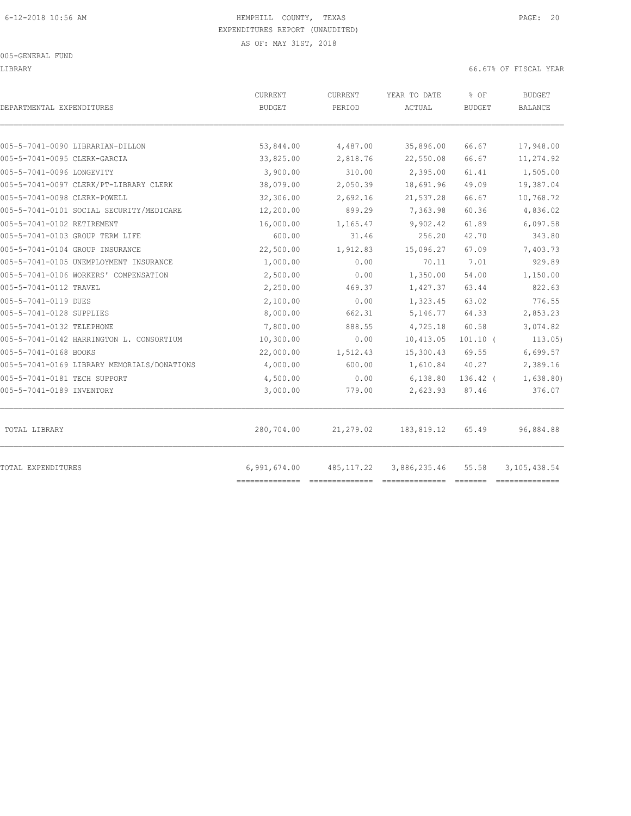LIBRARY 66.67% OF FISCAL YEAR

| DEPARTMENTAL EXPENDITURES                   | CURRENT<br><b>BUDGET</b> | CURRENT<br>PERIOD | YEAR TO DATE<br>ACTUAL | % OF<br><b>BUDGET</b> | <b>BUDGET</b><br><b>BALANCE</b> |
|---------------------------------------------|--------------------------|-------------------|------------------------|-----------------------|---------------------------------|
| 005-5-7041-0090 LIBRARIAN-DILLON            | 53,844.00                | 4,487.00          | 35,896.00              | 66.67                 | 17,948.00                       |
| 005-5-7041-0095 CLERK-GARCIA                | 33,825.00                | 2,818.76          | 22,550.08              | 66.67                 | 11,274.92                       |
| 005-5-7041-0096 LONGEVITY                   | 3,900.00                 | 310.00            | 2,395.00               | 61.41                 | 1,505.00                        |
| 005-5-7041-0097 CLERK/PT-LIBRARY CLERK      | 38,079.00                | 2,050.39          | 18,691.96              | 49.09                 | 19,387.04                       |
| 005-5-7041-0098 CLERK-POWELL                | 32,306.00                | 2,692.16          | 21,537.28              | 66.67                 | 10,768.72                       |
| 005-5-7041-0101 SOCIAL SECURITY/MEDICARE    | 12,200.00                | 899.29            | 7,363.98               | 60.36                 | 4,836.02                        |
| 005-5-7041-0102 RETIREMENT                  | 16,000.00                | 1,165.47          | 9,902.42               | 61.89                 | 6,097.58                        |
| 005-5-7041-0103 GROUP TERM LIFE             | 600.00                   | 31.46             | 256.20                 | 42.70                 | 343.80                          |
| 005-5-7041-0104 GROUP INSURANCE             | 22,500.00                | 1,912.83          | 15,096.27              | 67.09                 | 7,403.73                        |
| 005-5-7041-0105 UNEMPLOYMENT INSURANCE      | 1,000.00                 | 0.00              | 70.11                  | 7.01                  | 929.89                          |
| 005-5-7041-0106 WORKERS' COMPENSATION       | 2,500.00                 | 0.00              | 1,350.00               | 54.00                 | 1,150.00                        |
| 005-5-7041-0112 TRAVEL                      | 2,250.00                 | 469.37            | 1,427.37               | 63.44                 | 822.63                          |
| 005-5-7041-0119 DUES                        | 2,100.00                 | 0.00              | 1,323.45               | 63.02                 | 776.55                          |
| 005-5-7041-0128 SUPPLIES                    | 8,000.00                 | 662.31            | 5,146.77               | 64.33                 | 2,853.23                        |
| 005-5-7041-0132 TELEPHONE                   | 7,800.00                 | 888.55            | 4,725.18               | 60.58                 | 3,074.82                        |
| 005-5-7041-0142 HARRINGTON L. CONSORTIUM    | 10,300.00                | 0.00              | 10,413.05              | $101.10$ (            | 113.05)                         |
| 005-5-7041-0168 BOOKS                       | 22,000.00                | 1,512.43          | 15,300.43              | 69.55                 | 6,699.57                        |
| 005-5-7041-0169 LIBRARY MEMORIALS/DONATIONS | 4,000.00                 | 600.00            | 1,610.84               | 40.27                 | 2,389.16                        |
| 005-5-7041-0181 TECH SUPPORT                | 4,500.00                 | 0.00              | 6,138.80               | $136.42$ (            | 1,638.80)                       |
| 005-5-7041-0189 INVENTORY                   | 3,000.00                 | 779.00            | 2,623.93               | 87.46                 | 376.07                          |
| TOTAL LIBRARY                               | 280,704.00               | 21,279.02         | 183,819.12             | 65.49                 | 96,884.88                       |
| TOTAL EXPENDITURES                          | 6,991,674.00             | 485,117.22        | 3,886,235.46           | 55.58                 | 3, 105, 438.54                  |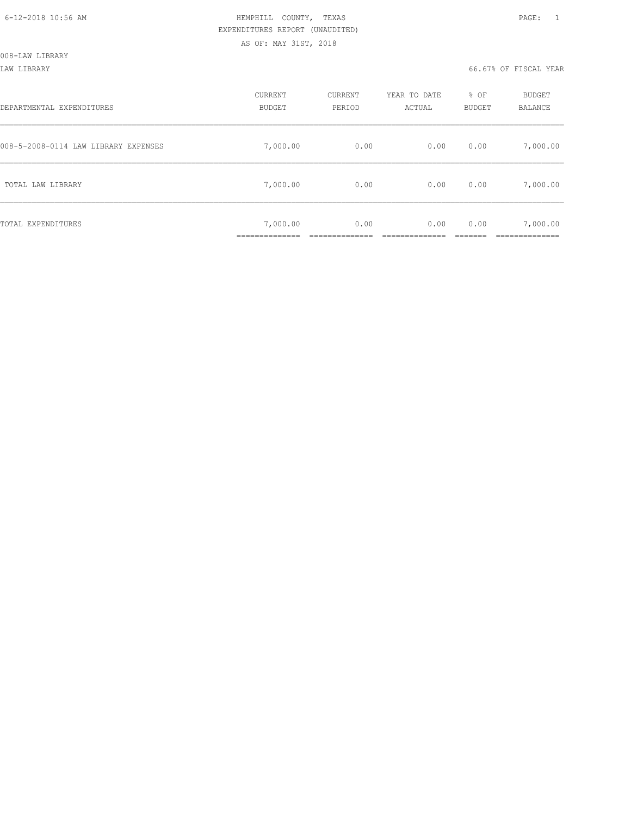| DEPARTMENTAL EXPENDITURES            | CURRENT<br><b>BUDGET</b>  | CURRENT<br>PERIOD | YEAR TO DATE<br>ACTUAL | % OF<br>BUDGET | BUDGET<br>BALANCE |
|--------------------------------------|---------------------------|-------------------|------------------------|----------------|-------------------|
| 008-5-2008-0114 LAW LIBRARY EXPENSES | 7,000.00                  | 0.00              | 0.00                   | 0.00           | 7,000.00          |
| TOTAL LAW LIBRARY                    | 7,000.00                  | 0.00              | 0.00                   | 0.00           | 7,000.00          |
| TOTAL EXPENDITURES                   | 7,000.00<br>_____________ | 0.00              | 0.00                   | 0.00           | 7,000.00          |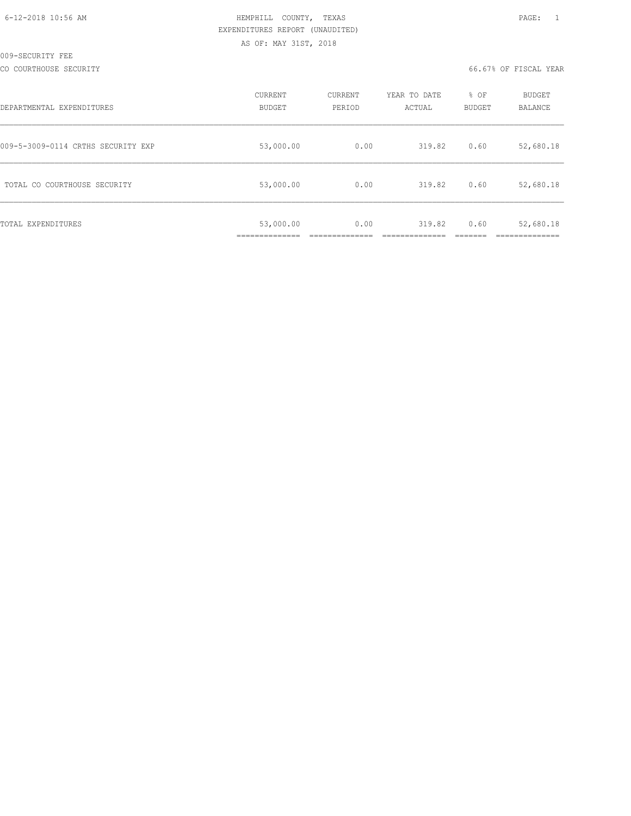| 6-12-2018 10:56 AM |  |
|--------------------|--|
|                    |  |

# HEMPHILL COUNTY, TEXAS **Example 20:56 AM HEMPHILL** COUNTY, TEXAS EXPENDITURES REPORT (UNAUDITED) AS OF: MAY 31ST, 2018

| DEPARTMENTAL EXPENDITURES          | CURRENT<br><b>BUDGET</b> | CURRENT<br>PERIOD | YEAR TO DATE<br>ACTUAL | % OF<br><b>BUDGET</b> | <b>BUDGET</b><br>BALANCE |
|------------------------------------|--------------------------|-------------------|------------------------|-----------------------|--------------------------|
| 009-5-3009-0114 CRTHS SECURITY EXP | 53,000.00                | 0.00              | 319.82                 | 0.60                  | 52,680.18                |
| TOTAL CO COURTHOUSE SECURITY       | 53,000.00                | 0.00              | 319.82                 | 0.60                  | 52,680.18                |
| TOTAL EXPENDITURES                 | 53,000.00                | 0.00              | 319.82                 | 0.60                  | 52,680.18                |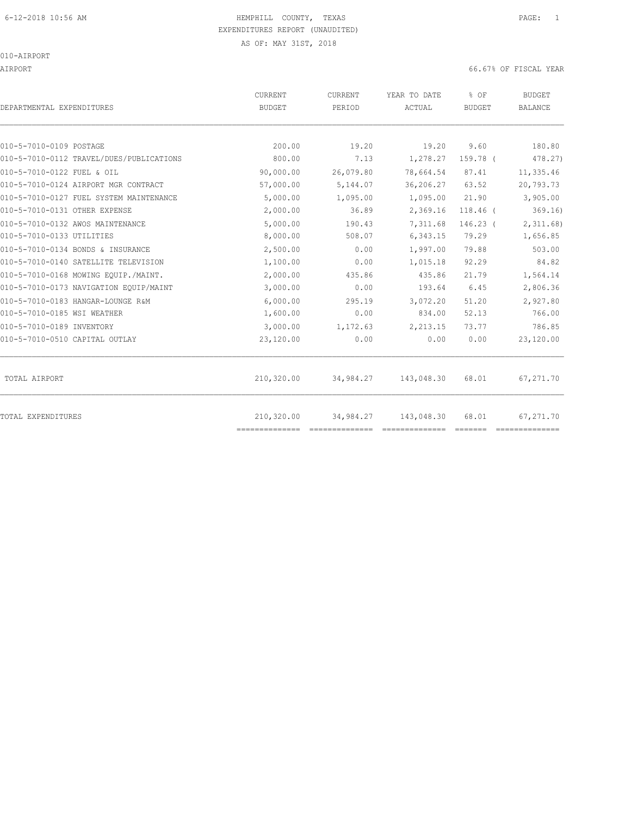010-AIRPORT

AIRPORT 66.67% OF FISCAL YEAR

| DEPARTMENTAL EXPENDITURES                | <b>CURRENT</b><br><b>BUDGET</b> | <b>CURRENT</b><br>PERIOD | YEAR TO DATE<br>ACTUAL | % OF<br><b>BUDGET</b> | <b>BUDGET</b><br><b>BALANCE</b> |
|------------------------------------------|---------------------------------|--------------------------|------------------------|-----------------------|---------------------------------|
| 010-5-7010-0109 POSTAGE                  | 200.00                          | 19.20                    | 19.20                  | 9.60                  | 180.80                          |
| 010-5-7010-0112 TRAVEL/DUES/PUBLICATIONS | 800.00                          | 7.13                     | 1,278.27               | 159.78 (              | 478.27)                         |
| 010-5-7010-0122 FUEL & OIL               | 90,000.00                       | 26,079.80                | 78,664.54              | 87.41                 | 11,335.46                       |
| 010-5-7010-0124 AIRPORT MGR CONTRACT     | 57,000.00                       | 5,144.07                 | 36,206.27              | 63.52                 | 20,793.73                       |
| 010-5-7010-0127 FUEL SYSTEM MAINTENANCE  | 5,000.00                        | 1,095.00                 | 1,095.00               | 21.90                 | 3,905.00                        |
| 010-5-7010-0131 OTHER EXPENSE            | 2,000.00                        | 36.89                    | 2,369.16               | $118.46$ (            | 369.16                          |
| 010-5-7010-0132 AWOS MAINTENANCE         | 5,000.00                        | 190.43                   | 7,311.68               | $146.23$ (            | 2,311.68                        |
| 010-5-7010-0133 UTILITIES                | 8,000.00                        | 508.07                   | 6,343.15               | 79.29                 | 1,656.85                        |
| 010-5-7010-0134 BONDS & INSURANCE        | 2,500.00                        | 0.00                     | 1,997.00               | 79.88                 | 503.00                          |
| 010-5-7010-0140 SATELLITE TELEVISION     | 1,100.00                        | 0.00                     | 1,015.18               | 92.29                 | 84.82                           |
| 010-5-7010-0168 MOWING EQUIP./MAINT.     | 2,000.00                        | 435.86                   | 435.86                 | 21.79                 | 1,564.14                        |
| 010-5-7010-0173 NAVIGATION EQUIP/MAINT   | 3,000.00                        | 0.00                     | 193.64                 | 6.45                  | 2,806.36                        |
| 010-5-7010-0183 HANGAR-LOUNGE R&M        | 6,000.00                        | 295.19                   | 3,072.20               | 51.20                 | 2,927.80                        |
| 010-5-7010-0185 WSI WEATHER              | 1,600.00                        | 0.00                     | 834.00                 | 52.13                 | 766.00                          |
| 010-5-7010-0189 INVENTORY                | 3,000.00                        | 1,172.63                 | 2,213.15               | 73.77                 | 786.85                          |
| 010-5-7010-0510 CAPITAL OUTLAY           | 23,120.00                       | 0.00                     | 0.00                   | 0.00                  | 23,120.00                       |
| TOTAL AIRPORT                            | 210,320.00                      | 34,984.27                | 143,048.30             | 68.01                 | 67,271.70                       |
| TOTAL EXPENDITURES                       | 210,320.00<br>==============    | 34,984.27                | 143,048.30             | 68.01                 | 67,271.70                       |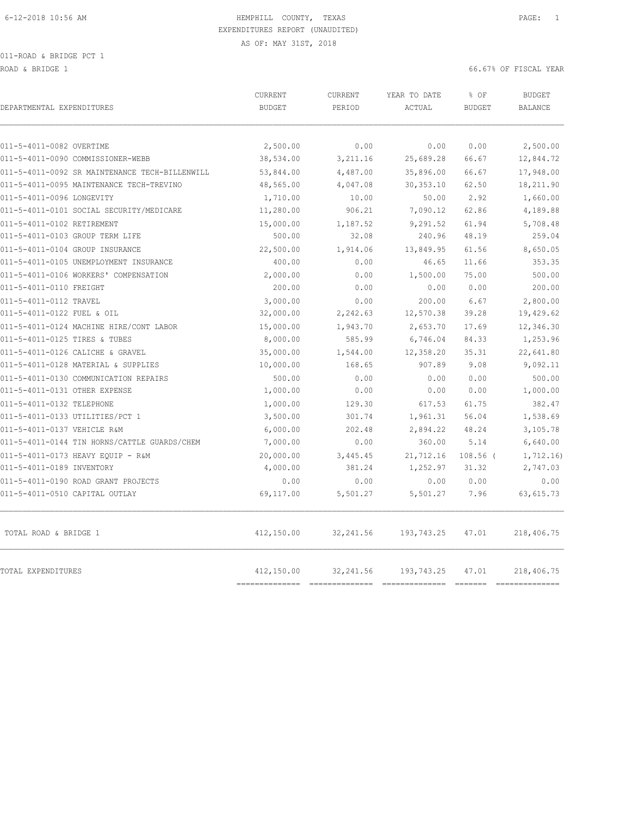011-ROAD & BRIDGE PCT 1

ROAD & BRIDGE 1 66.67% OF FISCAL YEAR (1999) AND ROAD & SOLUTION OF SALES AND ROAD & SOLUTION OF SOLUTION OF SOLUTION OF SALES AND RESOLUTION OF SOLUTION OF SOLUTION OF SOLUTION OF SOLUTION OF SOLUTION OF SOLUTION OF SOLUT

| DEPARTMENTAL EXPENDITURES                      | CURRENT<br><b>BUDGET</b> | <b>CURRENT</b><br>PERIOD | YEAR TO DATE<br>ACTUAL | % OF<br><b>BUDGET</b> | <b>BUDGET</b><br><b>BALANCE</b> |
|------------------------------------------------|--------------------------|--------------------------|------------------------|-----------------------|---------------------------------|
| 011-5-4011-0082 OVERTIME                       | 2,500.00                 | 0.00                     | 0.00                   | 0.00                  | 2,500.00                        |
| 011-5-4011-0090 COMMISSIONER-WEBB              | 38,534.00                | 3,211.16                 | 25,689.28              | 66.67                 | 12,844.72                       |
| 011-5-4011-0092 SR MAINTENANCE TECH-BILLENWILL | 53,844.00                | 4,487.00                 | 35,896.00              | 66.67                 | 17,948.00                       |
| 011-5-4011-0095 MAINTENANCE TECH-TREVINO       | 48,565.00                | 4,047.08                 | 30, 353.10             | 62.50                 | 18,211.90                       |
| 011-5-4011-0096 LONGEVITY                      | 1,710.00                 | 10.00                    | 50.00                  | 2.92                  | 1,660.00                        |
| 011-5-4011-0101 SOCIAL SECURITY/MEDICARE       | 11,280.00                | 906.21                   | 7,090.12               | 62.86                 | 4,189.88                        |
| 011-5-4011-0102 RETIREMENT                     | 15,000.00                | 1,187.52                 | 9,291.52               | 61.94                 | 5,708.48                        |
| 011-5-4011-0103 GROUP TERM LIFE                | 500.00                   | 32.08                    | 240.96                 | 48.19                 | 259.04                          |
| 011-5-4011-0104 GROUP INSURANCE                | 22,500.00                | 1,914.06                 | 13,849.95              | 61.56                 | 8,650.05                        |
| 011-5-4011-0105 UNEMPLOYMENT INSURANCE         | 400.00                   | 0.00                     | 46.65                  | 11.66                 | 353.35                          |
| 011-5-4011-0106 WORKERS' COMPENSATION          | 2,000.00                 | 0.00                     | 1,500.00               | 75.00                 | 500.00                          |
| 011-5-4011-0110 FREIGHT                        | 200.00                   | 0.00                     | 0.00                   | 0.00                  | 200.00                          |
| 011-5-4011-0112 TRAVEL                         | 3,000.00                 | 0.00                     | 200.00                 | 6.67                  | 2,800.00                        |
| 011-5-4011-0122 FUEL & OIL                     | 32,000.00                | 2,242.63                 | 12,570.38              | 39.28                 | 19,429.62                       |
| 011-5-4011-0124 MACHINE HIRE/CONT LABOR        | 15,000.00                | 1,943.70                 | 2,653.70               | 17.69                 | 12,346.30                       |
| 011-5-4011-0125 TIRES & TUBES                  | 8,000.00                 | 585.99                   | 6,746.04               | 84.33                 | 1,253.96                        |
| 011-5-4011-0126 CALICHE & GRAVEL               | 35,000.00                | 1,544.00                 | 12,358.20              | 35.31                 | 22,641.80                       |
| 011-5-4011-0128 MATERIAL & SUPPLIES            | 10,000.00                | 168.65                   | 907.89                 | 9.08                  | 9,092.11                        |
| 011-5-4011-0130 COMMUNICATION REPAIRS          | 500.00                   | 0.00                     | 0.00                   | 0.00                  | 500.00                          |
| 011-5-4011-0131 OTHER EXPENSE                  | 1,000.00                 | 0.00                     | 0.00                   | 0.00                  | 1,000.00                        |
| 011-5-4011-0132 TELEPHONE                      | 1,000.00                 | 129.30                   | 617.53                 | 61.75                 | 382.47                          |
| 011-5-4011-0133 UTILITIES/PCT 1                | 3,500.00                 | 301.74                   | 1,961.31               | 56.04                 | 1,538.69                        |
| 011-5-4011-0137 VEHICLE R&M                    | 6,000.00                 | 202.48                   | 2,894.22               | 48.24                 | 3,105.78                        |
| 011-5-4011-0144 TIN HORNS/CATTLE GUARDS/CHEM   | 7,000.00                 | 0.00                     | 360.00                 | 5.14                  | 6,640.00                        |
| 011-5-4011-0173 HEAVY EOUIP - R&M              | 20,000.00                | 3,445.45                 | 21,712.16              | $108.56$ (            | 1,712.16                        |
| 011-5-4011-0189 INVENTORY                      | 4,000.00                 | 381.24                   | 1,252.97               | 31.32                 | 2,747.03                        |
| 011-5-4011-0190 ROAD GRANT PROJECTS            | 0.00                     | 0.00                     | 0.00                   | 0.00                  | 0.00                            |
| 011-5-4011-0510 CAPITAL OUTLAY                 | 69,117.00                | 5,501.27                 | 5,501.27               | 7.96                  | 63, 615.73                      |
| TOTAL ROAD & BRIDGE 1                          | 412,150.00               | 32, 241.56               | 193,743.25             | 47.01                 | 218,406.75                      |
| TOTAL EXPENDITURES                             | 412,150.00               | 32, 241.56               | 193,743.25             | 47.01                 | 218,406.75                      |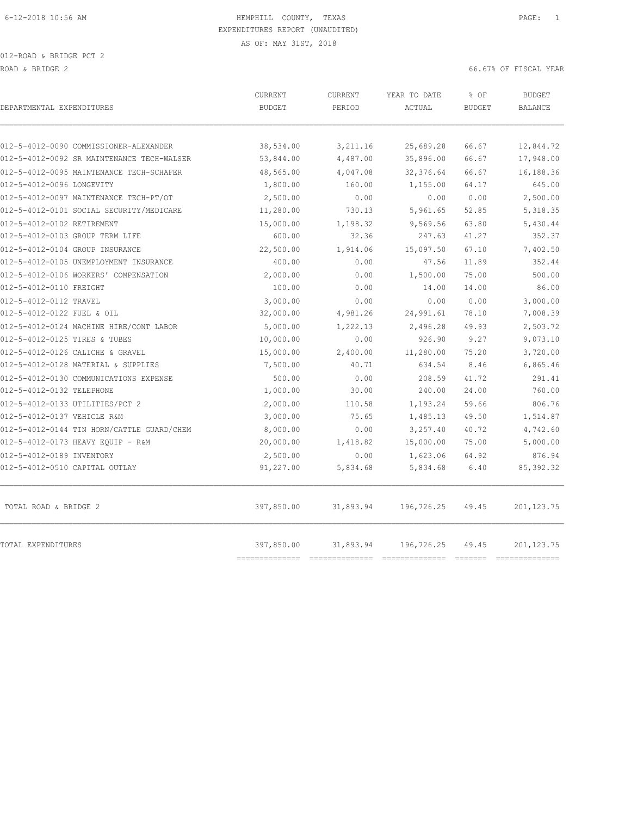012-ROAD & BRIDGE PCT 2 ROAD & BRIDGE 2 66.67% OF FISCAL YEAR (1999) AND ROAD & SOLUTION OF SALES AND ROAD & SOLUTION OF SOLUTION OF SOLUTION OF SALES AND RESOLUTION OF SOLUTION OF SOLUTION OF SOLUTION OF SOLUTION OF SOLUTION OF SOLUTION OF SOLUT

| DEPARTMENTAL EXPENDITURES                                             | CURRENT<br><b>BUDGET</b>     | CURRENT<br>PERIOD | YEAR TO DATE<br>ACTUAL | % OF<br><b>BUDGET</b> | <b>BUDGET</b><br><b>BALANCE</b> |
|-----------------------------------------------------------------------|------------------------------|-------------------|------------------------|-----------------------|---------------------------------|
|                                                                       |                              |                   |                        |                       |                                 |
| 012-5-4012-0090 COMMISSIONER-ALEXANDER                                | 38,534.00                    | 3,211.16          | 25,689.28              | 66.67                 | 12,844.72                       |
| 012-5-4012-0092 SR MAINTENANCE TECH-WALSER                            | 53,844.00                    | 4,487.00          | 35,896.00              | 66.67                 | 17,948.00                       |
| 012-5-4012-0095 MAINTENANCE TECH-SCHAFER<br>012-5-4012-0096 LONGEVITY | 48,565.00                    | 4,047.08          | 32,376.64              | 66.67                 | 16,188.36<br>645.00             |
|                                                                       | 1,800.00                     | 160.00            | 1,155.00               | 64.17                 |                                 |
| 012-5-4012-0097 MAINTENANCE TECH-PT/OT                                | 2,500.00                     | 0.00              | 0.00                   | 0.00                  | 2,500.00                        |
| 012-5-4012-0101 SOCIAL SECURITY/MEDICARE                              | 11,280.00                    | 730.13            | 5,961.65               | 52.85                 | 5,318.35                        |
| 012-5-4012-0102 RETIREMENT                                            | 15,000.00                    | 1,198.32          | 9,569.56               | 63.80                 | 5,430.44                        |
| 012-5-4012-0103 GROUP TERM LIFE                                       | 600.00                       | 32.36             | 247.63                 | 41.27                 | 352.37                          |
| 012-5-4012-0104 GROUP INSURANCE                                       | 22,500.00                    | 1,914.06          | 15,097.50              | 67.10                 | 7,402.50                        |
| 012-5-4012-0105 UNEMPLOYMENT INSURANCE                                | 400.00                       | 0.00              | 47.56                  | 11.89                 | 352.44                          |
| 012-5-4012-0106 WORKERS' COMPENSATION                                 | 2,000.00                     | 0.00              | 1,500.00               | 75.00                 | 500.00                          |
| 012-5-4012-0110 FREIGHT                                               | 100.00                       | 0.00              | 14.00                  | 14.00                 | 86.00                           |
| 012-5-4012-0112 TRAVEL                                                | 3,000.00                     | 0.00              | 0.00                   | 0.00                  | 3,000.00                        |
| 012-5-4012-0122 FUEL & OIL                                            | 32,000.00                    | 4,981.26          | 24,991.61              | 78.10                 | 7,008.39                        |
| 012-5-4012-0124 MACHINE HIRE/CONT LABOR                               | 5,000.00                     | 1,222.13          | 2,496.28               | 49.93                 | 2,503.72                        |
| 012-5-4012-0125 TIRES & TUBES                                         | 10,000.00                    | 0.00              | 926.90                 | 9.27                  | 9,073.10                        |
| 012-5-4012-0126 CALICHE & GRAVEL                                      | 15,000.00                    | 2,400.00          | 11,280.00              | 75.20                 | 3,720.00                        |
| 012-5-4012-0128 MATERIAL & SUPPLIES                                   | 7,500.00                     | 40.71             | 634.54                 | 8.46                  | 6,865.46                        |
| 012-5-4012-0130 COMMUNICATIONS EXPENSE                                | 500.00                       | 0.00              | 208.59                 | 41.72                 | 291.41                          |
| 012-5-4012-0132 TELEPHONE                                             | 1,000.00                     | 30.00             | 240.00                 | 24.00                 | 760.00                          |
| 012-5-4012-0133 UTILITIES/PCT 2                                       | 2,000.00                     | 110.58            | 1,193.24               | 59.66                 | 806.76                          |
| 012-5-4012-0137 VEHICLE R&M                                           | 3,000.00                     | 75.65             | 1,485.13               | 49.50                 | 1,514.87                        |
| 012-5-4012-0144 TIN HORN/CATTLE GUARD/CHEM                            | 8,000.00                     | 0.00              | 3,257.40               | 40.72                 | 4,742.60                        |
| 012-5-4012-0173 HEAVY EQUIP - R&M                                     | 20,000.00                    | 1,418.82          | 15,000.00              | 75.00                 | 5,000.00                        |
| 012-5-4012-0189 INVENTORY                                             | 2,500.00                     | 0.00              | 1,623.06               | 64.92                 | 876.94                          |
| 012-5-4012-0510 CAPITAL OUTLAY                                        | 91,227.00                    | 5,834.68          | 5,834.68               | 6.40                  | 85, 392.32                      |
| TOTAL ROAD & BRIDGE 2                                                 | 397,850.00                   | 31,893.94         | 196,726.25             | 49.45                 | 201, 123.75                     |
| TOTAL EXPENDITURES                                                    | 397,850.00<br>-------------- | 31,893.94         | 196,726.25             | 49.45                 | 201, 123.75<br>________________ |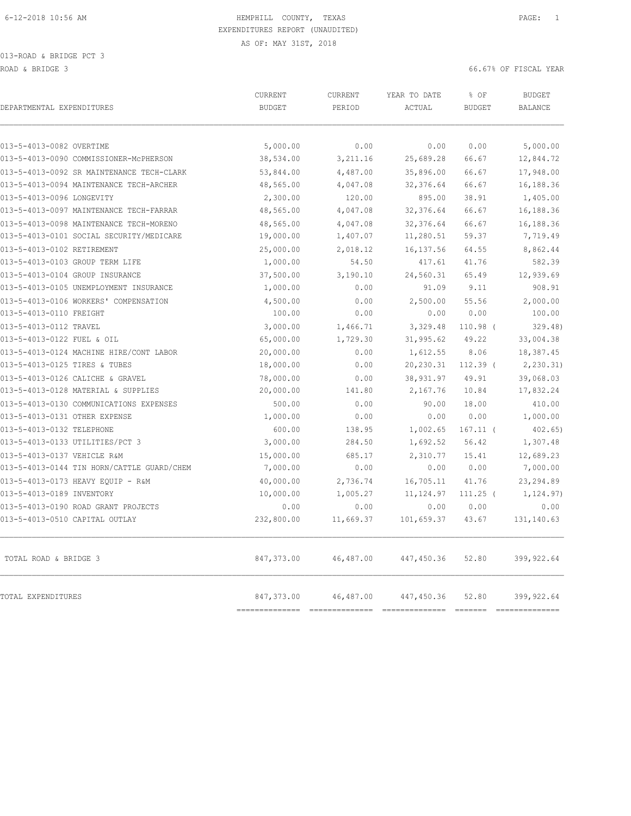013-ROAD & BRIDGE PCT 3 ROAD & BRIDGE 3 66.67% OF FISCAL YEAR

| DEPARTMENTAL EXPENDITURES                  | CURRENT<br><b>BUDGET</b>     | CURRENT<br>PERIOD | YEAR TO DATE<br>ACTUAL        | % OF<br><b>BUDGET</b>                | <b>BUDGET</b><br><b>BALANCE</b> |
|--------------------------------------------|------------------------------|-------------------|-------------------------------|--------------------------------------|---------------------------------|
| 013-5-4013-0082 OVERTIME                   | 5,000.00                     | 0.00              | 0.00                          | 0.00                                 | 5,000.00                        |
| 013-5-4013-0090 COMMISSIONER-MCPHERSON     | 38,534.00                    | 3,211.16          | 25,689.28                     | 66.67                                | 12,844.72                       |
| 013-5-4013-0092 SR MAINTENANCE TECH-CLARK  | 53,844.00                    | 4,487.00          | 35,896.00                     | 66.67                                | 17,948.00                       |
| 013-5-4013-0094 MAINTENANCE TECH-ARCHER    | 48,565.00                    | 4,047.08          | 32, 376.64                    | 66.67                                | 16,188.36                       |
| 013-5-4013-0096 LONGEVITY                  | 2,300.00                     | 120.00            | 895.00                        | 38.91                                | 1,405.00                        |
| 013-5-4013-0097 MAINTENANCE TECH-FARRAR    | 48,565.00                    | 4,047.08          | 32, 376.64                    | 66.67                                | 16,188.36                       |
| 013-5-4013-0098 MAINTENANCE TECH-MORENO    | 48,565.00                    | 4,047.08          | 32,376.64                     | 66.67                                | 16,188.36                       |
| 013-5-4013-0101 SOCIAL SECURITY/MEDICARE   | 19,000.00                    | 1,407.07          | 11,280.51                     | 59.37                                | 7,719.49                        |
| 013-5-4013-0102 RETIREMENT                 | 25,000.00                    | 2,018.12          | 16, 137.56                    | 64.55                                | 8,862.44                        |
| 013-5-4013-0103 GROUP TERM LIFE            | 1,000.00                     | 54.50             | 417.61                        | 41.76                                | 582.39                          |
| 013-5-4013-0104 GROUP INSURANCE            | 37,500.00                    | 3,190.10          | 24,560.31                     | 65.49                                | 12,939.69                       |
| 013-5-4013-0105 UNEMPLOYMENT INSURANCE     | 1,000.00                     | 0.00              | 91.09                         | 9.11                                 | 908.91                          |
| 013-5-4013-0106 WORKERS' COMPENSATION      | 4,500.00                     | 0.00              | 2,500.00                      | 55.56                                | 2,000.00                        |
| 013-5-4013-0110 FREIGHT                    | 100.00                       | 0.00              | 0.00                          | 0.00                                 | 100.00                          |
| 013-5-4013-0112 TRAVEL                     | 3,000.00                     | 1,466.71          | 3,329.48                      | $110.98$ (                           | 329.48                          |
| 013-5-4013-0122 FUEL & OIL                 | 65,000.00                    | 1,729.30          | 31,995.62                     | 49.22                                | 33,004.38                       |
| 013-5-4013-0124 MACHINE HIRE/CONT LABOR    | 20,000.00                    | 0.00              | 1,612.55                      | 8.06                                 | 18,387.45                       |
| 013-5-4013-0125 TIRES & TUBES              | 18,000.00                    | 0.00              | 20,230.31                     | $112.39$ (                           | 2, 230.31)                      |
| 013-5-4013-0126 CALICHE & GRAVEL           | 78,000.00                    | 0.00              | 38,931.97                     | 49.91                                | 39,068.03                       |
| 013-5-4013-0128 MATERIAL & SUPPLIES        | 20,000.00                    | 141.80            | 2,167.76                      | 10.84                                | 17,832.24                       |
| 013-5-4013-0130 COMMUNICATIONS EXPENSES    | 500.00                       | 0.00              | 90.00                         | 18.00                                | 410.00                          |
| 013-5-4013-0131 OTHER EXPENSE              | 1,000.00                     | 0.00              | 0.00                          | 0.00                                 | 1,000.00                        |
| 013-5-4013-0132 TELEPHONE                  | 600.00                       | 138.95            | 1,002.65                      | $167.11$ (                           | $402.65$ )                      |
| 013-5-4013-0133 UTILITIES/PCT 3            | 3,000.00                     | 284.50            | 1,692.52                      | 56.42                                | 1,307.48                        |
| 013-5-4013-0137 VEHICLE R&M                | 15,000.00                    | 685.17            | 2,310.77                      | 15.41                                | 12,689.23                       |
| 013-5-4013-0144 TIN HORN/CATTLE GUARD/CHEM | 7,000.00                     | 0.00              | 0.00                          | 0.00                                 | 7,000.00                        |
| 013-5-4013-0173 HEAVY EOUIP - R&M          | 40,000.00                    | 2,736.74          | 16,705.11                     | 41.76                                | 23, 294.89                      |
| 013-5-4013-0189 INVENTORY                  | 10,000.00                    | 1,005.27          | 11, 124.97                    | $111.25$ (                           | 1, 124.97)                      |
| 013-5-4013-0190 ROAD GRANT PROJECTS        | 0.00                         | 0.00              | 0.00                          | 0.00                                 | 0.00                            |
| 013-5-4013-0510 CAPITAL OUTLAY             | 232,800.00                   | 11,669.37         | 101,659.37                    | 43.67                                | 131,140.63                      |
| TOTAL ROAD & BRIDGE 3                      | 847,373.00                   | 46,487.00         | 447,450.36                    | 52.80                                | 399,922.64                      |
| TOTAL EXPENDITURES                         | 847,373.00<br>============== | 46,487.00         | 447,450.36<br>=============== | 52.80<br>$=$ $=$ $=$ $=$ $=$ $=$ $=$ | 399,922.64                      |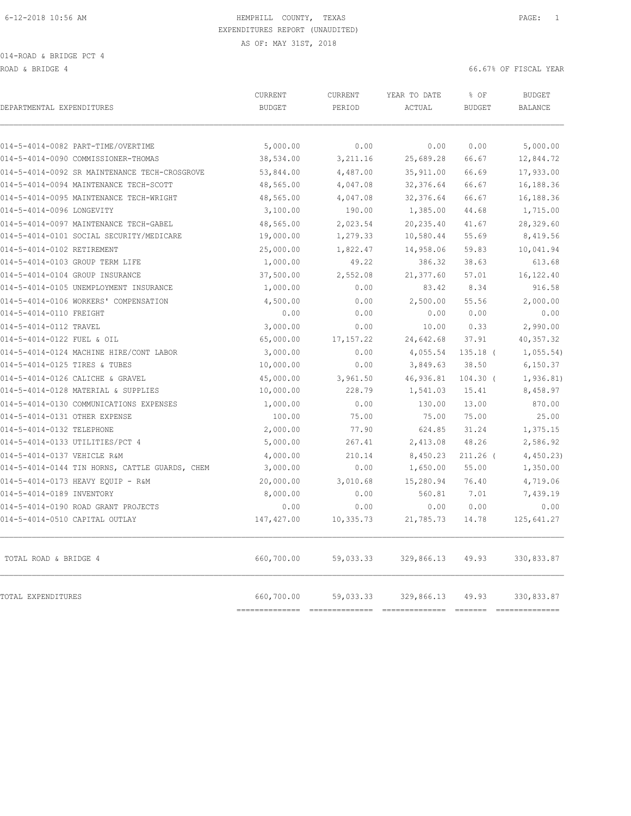014-ROAD & BRIDGE PCT 4

ROAD & BRIDGE 4 66.67% OF FISCAL YEAR

| DEPARTMENTAL EXPENDITURES                      | CURRENT<br><b>BUDGET</b>     | CURRENT<br>PERIOD | YEAR TO DATE<br>ACTUAL                         | % OF<br><b>BUDGET</b> | <b>BUDGET</b><br><b>BALANCE</b>                                                                                                                                                                                                                                                                                                                                                                                                                                                                            |
|------------------------------------------------|------------------------------|-------------------|------------------------------------------------|-----------------------|------------------------------------------------------------------------------------------------------------------------------------------------------------------------------------------------------------------------------------------------------------------------------------------------------------------------------------------------------------------------------------------------------------------------------------------------------------------------------------------------------------|
|                                                |                              |                   |                                                |                       |                                                                                                                                                                                                                                                                                                                                                                                                                                                                                                            |
| 014-5-4014-0082 PART-TIME/OVERTIME             | 5,000.00                     | 0.00              | 0.00                                           | 0.00                  | 5,000.00                                                                                                                                                                                                                                                                                                                                                                                                                                                                                                   |
| 014-5-4014-0090 COMMISSIONER-THOMAS            | 38,534.00                    | 3,211.16          | 25,689.28                                      | 66.67                 | 12,844.72                                                                                                                                                                                                                                                                                                                                                                                                                                                                                                  |
| 014-5-4014-0092 SR MAINTENANCE TECH-CROSGROVE  | 53,844.00                    | 4,487.00          | 35, 911.00                                     | 66.69                 | 17,933.00                                                                                                                                                                                                                                                                                                                                                                                                                                                                                                  |
| 014-5-4014-0094 MAINTENANCE TECH-SCOTT         | 48,565.00                    | 4,047.08          | 32, 376.64                                     | 66.67                 | 16,188.36                                                                                                                                                                                                                                                                                                                                                                                                                                                                                                  |
| 014-5-4014-0095 MAINTENANCE TECH-WRIGHT        | 48,565.00                    | 4,047.08          | 32, 376.64                                     | 66.67                 | 16,188.36                                                                                                                                                                                                                                                                                                                                                                                                                                                                                                  |
| 014-5-4014-0096 LONGEVITY                      | 3,100.00                     | 190.00            | 1,385.00                                       | 44.68                 | 1,715.00                                                                                                                                                                                                                                                                                                                                                                                                                                                                                                   |
| 014-5-4014-0097 MAINTENANCE TECH-GABEL         | 48,565.00                    | 2,023.54          | 20, 235.40                                     | 41.67                 | 28,329.60                                                                                                                                                                                                                                                                                                                                                                                                                                                                                                  |
| 014-5-4014-0101 SOCIAL SECURITY/MEDICARE       | 19,000.00                    | 1,279.33          | 10,580.44                                      | 55.69                 | 8,419.56                                                                                                                                                                                                                                                                                                                                                                                                                                                                                                   |
| 014-5-4014-0102 RETIREMENT                     | 25,000.00                    | 1,822.47          | 14,958.06                                      | 59.83                 | 10,041.94                                                                                                                                                                                                                                                                                                                                                                                                                                                                                                  |
| 014-5-4014-0103 GROUP TERM LIFE                | 1,000.00                     | 49.22             | 386.32                                         | 38.63                 | 613.68                                                                                                                                                                                                                                                                                                                                                                                                                                                                                                     |
| 014-5-4014-0104 GROUP INSURANCE                | 37,500.00                    | 2,552.08          | 21,377.60                                      | 57.01                 | 16,122.40                                                                                                                                                                                                                                                                                                                                                                                                                                                                                                  |
| 014-5-4014-0105 UNEMPLOYMENT INSURANCE         | 1,000.00                     | 0.00              | 83.42                                          | 8.34                  | 916.58                                                                                                                                                                                                                                                                                                                                                                                                                                                                                                     |
| 014-5-4014-0106 WORKERS' COMPENSATION          | 4,500.00                     | 0.00              | 2,500.00                                       | 55.56                 | 2,000.00                                                                                                                                                                                                                                                                                                                                                                                                                                                                                                   |
| 014-5-4014-0110 FREIGHT                        | 0.00                         | 0.00              | 0.00                                           | 0.00                  | 0.00                                                                                                                                                                                                                                                                                                                                                                                                                                                                                                       |
| 014-5-4014-0112 TRAVEL                         | 3,000.00                     | 0.00              | 10.00                                          | 0.33                  | 2,990.00                                                                                                                                                                                                                                                                                                                                                                                                                                                                                                   |
| 014-5-4014-0122 FUEL & OIL                     | 65,000.00                    | 17, 157.22        | 24,642.68                                      | 37.91                 | 40, 357.32                                                                                                                                                                                                                                                                                                                                                                                                                                                                                                 |
| 014-5-4014-0124 MACHINE HIRE/CONT LABOR        | 3,000.00                     | 0.00              | 4,055.54                                       | $135.18$ (            | 1,055.54)                                                                                                                                                                                                                                                                                                                                                                                                                                                                                                  |
| 014-5-4014-0125 TIRES & TUBES                  | 10,000.00                    | 0.00              | 3,849.63                                       | 38.50                 | 6,150.37                                                                                                                                                                                                                                                                                                                                                                                                                                                                                                   |
| 014-5-4014-0126 CALICHE & GRAVEL               | 45,000.00                    | 3,961.50          | 46,936.81                                      | $104.30$ (            | 1,936.81)                                                                                                                                                                                                                                                                                                                                                                                                                                                                                                  |
| 014-5-4014-0128 MATERIAL & SUPPLIES            | 10,000.00                    | 228.79            | 1,541.03                                       | 15.41                 | 8,458.97                                                                                                                                                                                                                                                                                                                                                                                                                                                                                                   |
| 014-5-4014-0130 COMMUNICATIONS EXPENSES        | 1,000.00                     | 0.00              | 130.00                                         | 13.00                 | 870.00                                                                                                                                                                                                                                                                                                                                                                                                                                                                                                     |
| 014-5-4014-0131 OTHER EXPENSE                  | 100.00                       | 75.00             | 75.00                                          | 75.00                 | 25.00                                                                                                                                                                                                                                                                                                                                                                                                                                                                                                      |
| 014-5-4014-0132 TELEPHONE                      | 2,000.00                     | 77.90             | 624.85                                         | 31.24                 | 1,375.15                                                                                                                                                                                                                                                                                                                                                                                                                                                                                                   |
| 014-5-4014-0133 UTILITIES/PCT 4                | 5,000.00                     | 267.41            | 2,413.08                                       | 48.26                 | 2,586.92                                                                                                                                                                                                                                                                                                                                                                                                                                                                                                   |
| 014-5-4014-0137 VEHICLE R&M                    | 4,000.00                     | 210.14            | 8,450.23                                       | $211.26$ (            | 4,450.23                                                                                                                                                                                                                                                                                                                                                                                                                                                                                                   |
| 014-5-4014-0144 TIN HORNS, CATTLE GUARDS, CHEM | 3,000.00                     | 0.00              | 1,650.00                                       | 55.00                 | 1,350.00                                                                                                                                                                                                                                                                                                                                                                                                                                                                                                   |
| 014-5-4014-0173 HEAVY EQUIP - R&M              | 20,000.00                    | 3,010.68          | 15,280.94                                      | 76.40                 | 4,719.06                                                                                                                                                                                                                                                                                                                                                                                                                                                                                                   |
| 014-5-4014-0189 INVENTORY                      | 8,000.00                     | 0.00              | 560.81                                         | 7.01                  | 7,439.19                                                                                                                                                                                                                                                                                                                                                                                                                                                                                                   |
| 014-5-4014-0190 ROAD GRANT PROJECTS            | 0.00                         | 0.00              | 0.00                                           | 0.00                  | 0.00                                                                                                                                                                                                                                                                                                                                                                                                                                                                                                       |
| 014-5-4014-0510 CAPITAL OUTLAY                 | 147, 427.00                  | 10,335.73         | 21,785.73                                      | 14.78                 | 125,641.27                                                                                                                                                                                                                                                                                                                                                                                                                                                                                                 |
| TOTAL ROAD & BRIDGE 4                          | 660,700.00                   | 59,033.33         | 329,866.13                                     | 49.93                 | 330,833.87                                                                                                                                                                                                                                                                                                                                                                                                                                                                                                 |
| TOTAL EXPENDITURES                             | 660,700.00<br>============== | 59,033.33         | 329,866.13<br>================================ | 49.93                 | 330,833.87<br>$\begin{array}{c} \multicolumn{3}{c} {\textbf{1}} & \multicolumn{3}{c} {\textbf{2}} & \multicolumn{3}{c} {\textbf{3}} & \multicolumn{3}{c} {\textbf{4}} \\ \multicolumn{3}{c} {\textbf{2}} & \multicolumn{3}{c} {\textbf{3}} & \multicolumn{3}{c} {\textbf{4}} & \multicolumn{3}{c} {\textbf{5}} & \multicolumn{3}{c} {\textbf{6}} \\ \multicolumn{3}{c} {\textbf{4}} & \multicolumn{3}{c} {\textbf{5}} & \multicolumn{3}{c} {\textbf{6}} & \multicolumn{3}{c} {\textbf{6}} & \multicolumn{$ |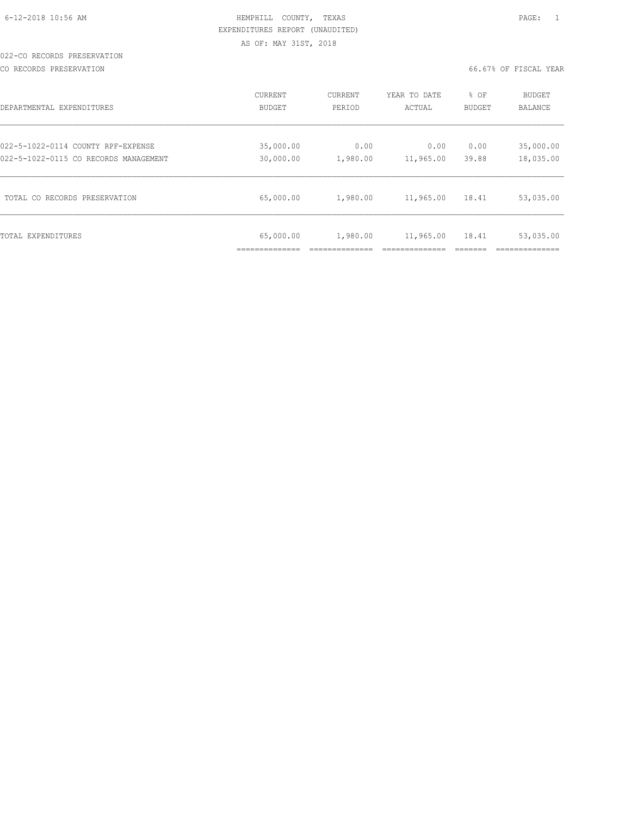# 022-CO RECORDS PRESERVATION

CO RECORDS PRESERVATION 66.67% OF FISCAL YEAR

| DEPARTMENTAL EXPENDITURES             | CURRENT       | CURRENT  | YEAR TO DATE | % OF          | <b>BUDGET</b>  |
|---------------------------------------|---------------|----------|--------------|---------------|----------------|
|                                       | <b>BUDGET</b> | PERIOD   | ACTUAL       | <b>BUDGET</b> | <b>BALANCE</b> |
| 022-5-1022-0114 COUNTY RPF-EXPENSE    | 35,000.00     | 0.00     | 0.00         | 0.00          | 35,000.00      |
| 022-5-1022-0115 CO RECORDS MANAGEMENT | 30,000.00     | 1,980.00 | 11,965.00    | 39.88         | 18,035.00      |
| TOTAL CO RECORDS PRESERVATION         | 65,000.00     | 1,980.00 | 11,965.00    | 18.41         | 53,035.00      |
| TOTAL EXPENDITURES                    | 65,000.00     | 1,980.00 | 11,965.00    | 18.41         | 53,035.00      |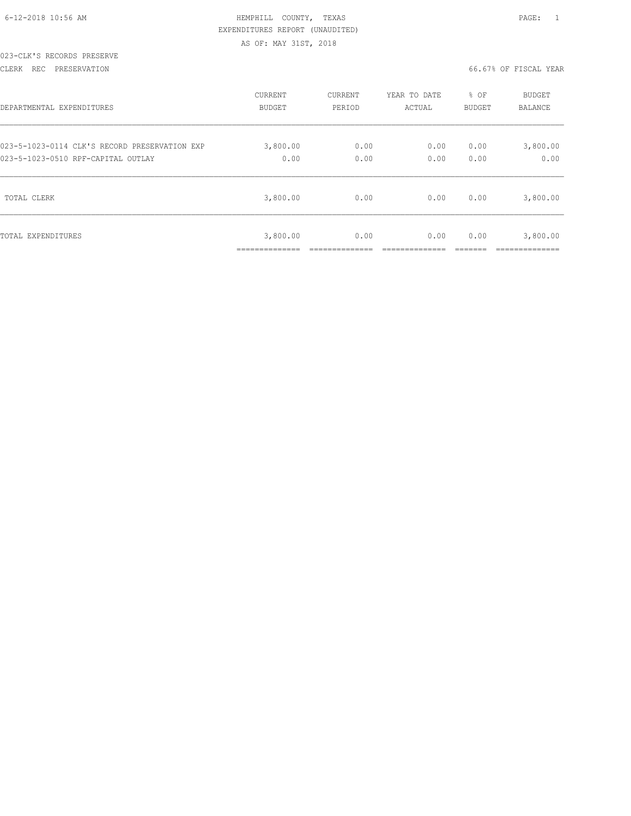| 6-12-2018 10:56 AM |  |  |
|--------------------|--|--|

# HEMPHILL COUNTY, TEXAS **10:56 AM HEMPHILL COUNTY**, TEXAS EXPENDITURES REPORT (UNAUDITED) AS OF: MAY 31ST, 2018

#### 023-CLK'S RECORDS PRESERVE

CLERK REC PRESERVATION 66.67% OF FISCAL YEAR

| DEPARTMENTAL EXPENDITURES                     | <b>CURRENT</b> | CURRENT | YEAR TO DATE | % OF   | <b>BUDGET</b> |
|-----------------------------------------------|----------------|---------|--------------|--------|---------------|
|                                               | BUDGET         | PERIOD  | ACTUAL       | BUDGET | BALANCE       |
| 023-5-1023-0114 CLK'S RECORD PRESERVATION EXP | 3,800.00       | 0.00    | 0.00         | 0.00   | 3,800.00      |
| 023-5-1023-0510 RPF-CAPITAL OUTLAY            | 0.00           | 0.00    | 0.00         | 0.00   | 0.00          |
| TOTAL CLERK                                   | 3,800.00       | 0.00    | 0.00         | 0.00   | 3,800.00      |
| TOTAL EXPENDITURES                            | 3,800.00<br>.  | 0.00    | 0.00         | 0.00   | 3,800.00      |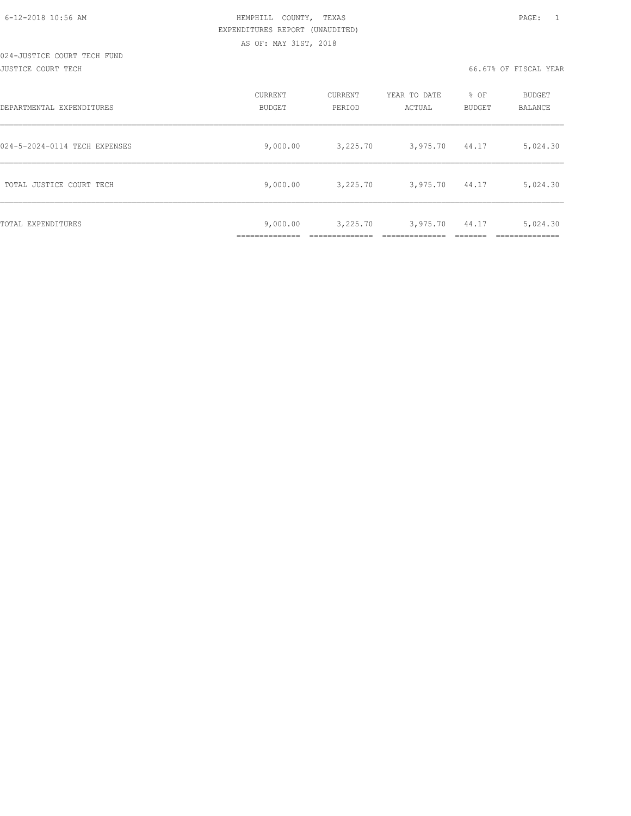| DEPARTMENTAL EXPENDITURES     | CURRENT<br>BUDGET                         | CURRENT<br>PERIOD | YEAR TO DATE<br>ACTUAL | % OF<br>BUDGET | BUDGET<br>BALANCE     |
|-------------------------------|-------------------------------------------|-------------------|------------------------|----------------|-----------------------|
| 024-5-2024-0114 TECH EXPENSES | 9,000.00                                  | 3,225.70          | 3,975.70               | 44.17          | 5,024.30              |
| TOTAL JUSTICE COURT TECH      | 9,000.00                                  | 3,225.70          | 3,975.70               | 44.17          | 5,024.30              |
| TOTAL EXPENDITURES            | 9,000.00<br>____________<br>_____________ | 3,225.70          | 3,975.70               | 44.17          | 5,024.30<br>_________ |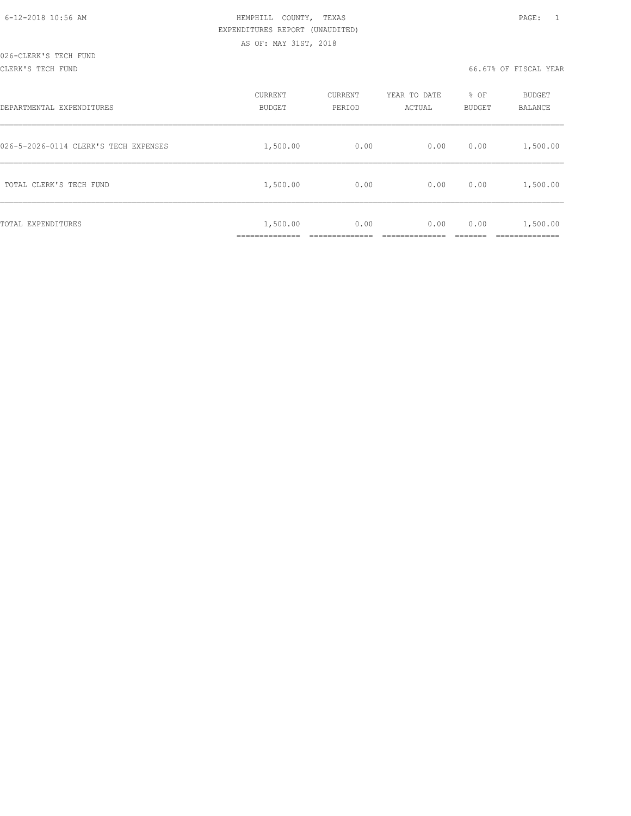#### CLERK'S TECH FUND 66.67% OF FISCAL YEAR

| DEPARTMENTAL EXPENDITURES             | CURRENT<br>BUDGET        | CURRENT<br>PERIOD | YEAR TO DATE<br>ACTUAL | % OF<br>BUDGET | BUDGET<br>BALANCE      |
|---------------------------------------|--------------------------|-------------------|------------------------|----------------|------------------------|
| 026-5-2026-0114 CLERK'S TECH EXPENSES | 1,500.00                 | 0.00              | 0.00                   | 0.00           | 1,500.00               |
| TOTAL CLERK'S TECH FUND               | 1,500.00                 | 0.00              | 0.00                   | 0.00           | 1,500.00               |
| TOTAL EXPENDITURES                    | 1,500.00<br>____________ | 0.00              | 0.00                   | 0.00           | 1,500.00<br>__________ |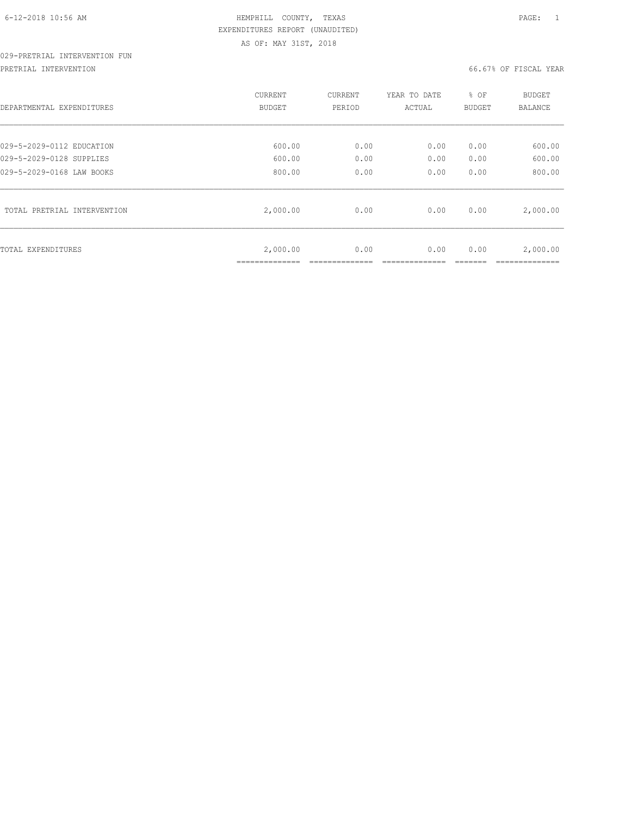# 029-PRETRIAL INTERVENTION FUN

PRETRIAL INTERVENTION 66.67% OF FISCAL YEAR

| DEPARTMENTAL EXPENDITURES   | CURRENT<br>BUDGET | CURRENT<br>PERIOD | YEAR TO DATE<br>ACTUAL | % OF<br>BUDGET | <b>BUDGET</b><br>BALANCE |
|-----------------------------|-------------------|-------------------|------------------------|----------------|--------------------------|
| 029-5-2029-0112 EDUCATION   | 600.00            | 0.00              | 0.00                   | 0.00           | 600.00                   |
| 029-5-2029-0128 SUPPLIES    | 600.00            | 0.00              | 0.00                   | 0.00           | 600.00                   |
| 029-5-2029-0168 LAW BOOKS   | 800.00            | 0.00              | 0.00                   | 0.00           | 800.00                   |
| TOTAL PRETRIAL INTERVENTION | 2,000.00          | 0.00              | 0.00                   | 0.00           | 2,000.00                 |
| TOTAL EXPENDITURES          | 2,000.00          | 0.00              | 0.00                   | 0.00           | 2,000.00                 |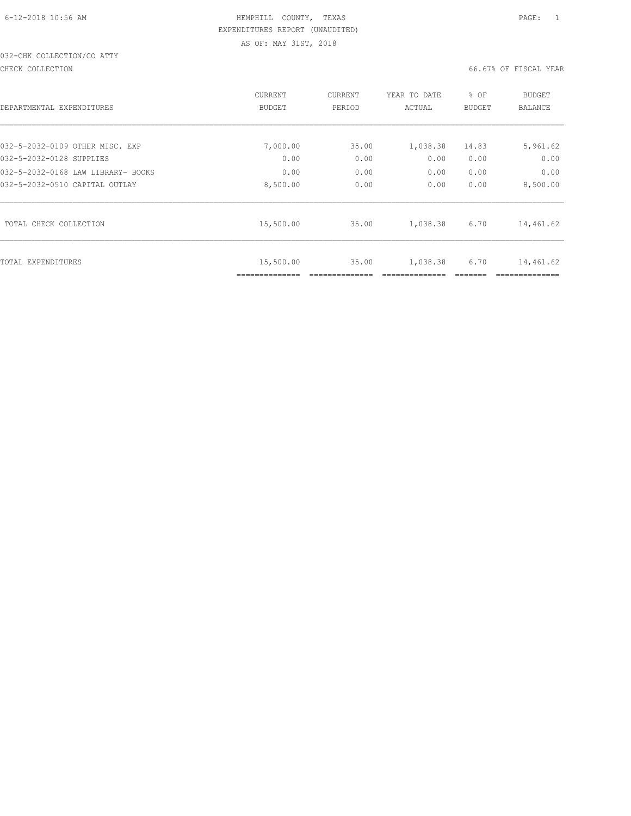# 032-CHK COLLECTION/CO ATTY

#### CHECK COLLECTION 66.67% OF FISCAL YEAR

|                                    | CURRENT                     | <b>CURRENT</b> | YEAR TO DATE | % OF          | <b>BUDGET</b> |
|------------------------------------|-----------------------------|----------------|--------------|---------------|---------------|
| DEPARTMENTAL EXPENDITURES          | <b>BUDGET</b>               | PERIOD         | ACTUAL       | <b>BUDGET</b> | BALANCE       |
|                                    |                             |                |              |               |               |
| 032-5-2032-0109 OTHER MISC. EXP    | 7,000.00                    | 35.00          | 1,038.38     | 14.83         | 5,961.62      |
| 032-5-2032-0128 SUPPLIES           | 0.00                        | 0.00           | 0.00         | 0.00          | 0.00          |
| 032-5-2032-0168 LAW LIBRARY- BOOKS | 0.00                        | 0.00           | 0.00         | 0.00          | 0.00          |
| 032-5-2032-0510 CAPITAL OUTLAY     | 8,500.00                    | 0.00           | 0.00         | 0.00          | 8,500.00      |
| TOTAL CHECK COLLECTION             | 15,500.00                   | 35.00          | 1,038.38     | 6.70          | 14,461.62     |
| TOTAL EXPENDITURES                 | 15,500.00<br>============== | 35.00          | 1,038.38     | 6.70          | 14,461.62     |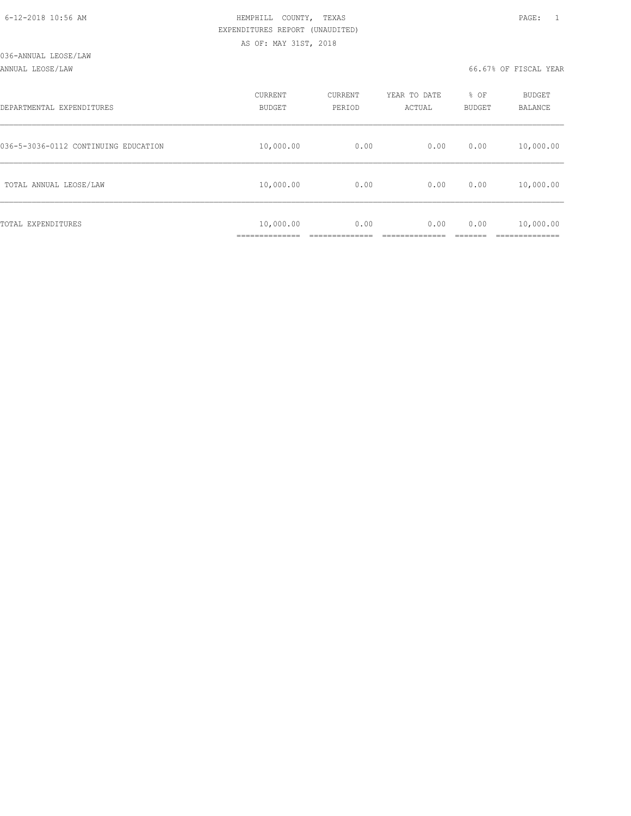#### ANNUAL LEOSE/LAW 66.67% OF FISCAL YEAR

| DEPARTMENTAL EXPENDITURES            | CURRENT<br><b>BUDGET</b> | CURRENT<br>PERIOD | YEAR TO DATE<br>ACTUAL | % OF<br>BUDGET | BUDGET<br>BALANCE |
|--------------------------------------|--------------------------|-------------------|------------------------|----------------|-------------------|
| 036-5-3036-0112 CONTINUING EDUCATION | 10,000.00                | 0.00              | 0.00                   | 0.00           | 10,000.00         |
| TOTAL ANNUAL LEOSE/LAW               | 10,000.00                | 0.00              | 0.00                   | 0.00           | 10,000.00         |
| TOTAL EXPENDITURES                   | 10,000.00<br>___________ | 0.00              | 0.00                   | 0.00           | 10,000.00         |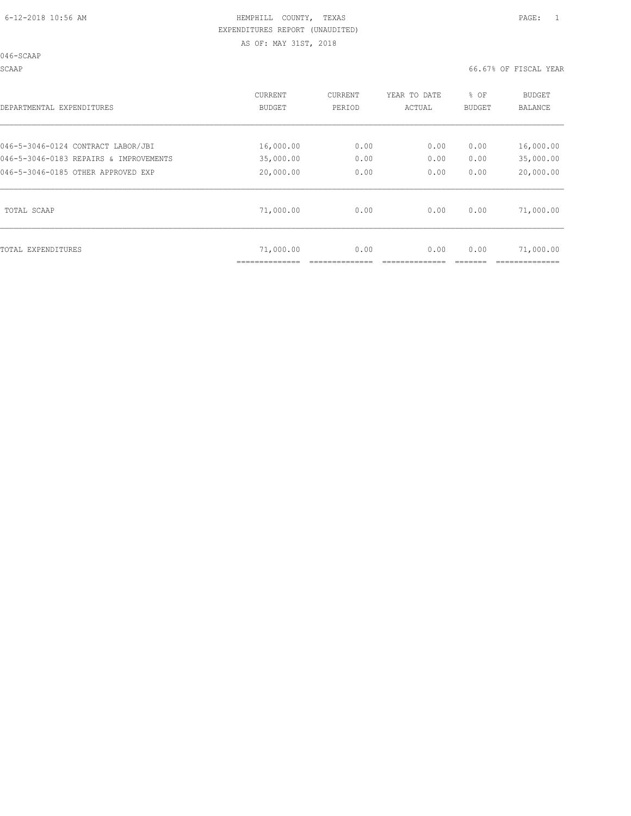046-SCAAP

SCAAP 66.67% OF FISCAL YEAR

| DEPARTMENTAL EXPENDITURES              | CURRENT       | CURRENT | YEAR TO DATE | % OF          | BUDGET    |
|----------------------------------------|---------------|---------|--------------|---------------|-----------|
|                                        | <b>BUDGET</b> | PERIOD  | ACTUAL       | <b>BUDGET</b> | BALANCE   |
| 046-5-3046-0124 CONTRACT LABOR/JBI     | 16,000.00     | 0.00    | 0.00         | 0.00          | 16,000.00 |
| 046-5-3046-0183 REPAIRS & IMPROVEMENTS | 35,000.00     | 0.00    | 0.00         | 0.00          | 35,000.00 |
| 046-5-3046-0185 OTHER APPROVED EXP     | 20,000.00     | 0.00    | 0.00         | 0.00          | 20,000.00 |
| TOTAL SCAAP                            | 71,000.00     | 0.00    | 0.00         | 0.00          | 71,000.00 |
| TOTAL EXPENDITURES                     | 71,000.00     | 0.00    | 0.00         | 0.00          | 71,000.00 |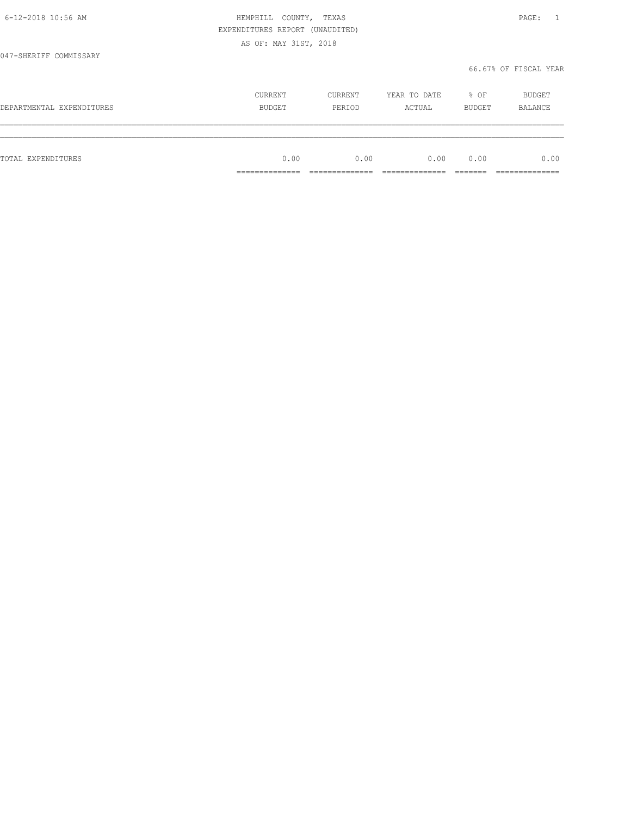|                           | EXPENDITURES REPORT (UNAUDITED)   |                                  |                                 |                     |                                 |
|---------------------------|-----------------------------------|----------------------------------|---------------------------------|---------------------|---------------------------------|
|                           | AS OF: MAY 31ST, 2018             |                                  |                                 |                     |                                 |
| 047-SHERIFF COMMISSARY    |                                   |                                  |                                 |                     |                                 |
|                           |                                   |                                  |                                 |                     | 66.67% OF FISCAL YEAR           |
|                           | CURRENT                           | CURRENT                          | YEAR TO DATE                    | % OF                | BUDGET                          |
| DEPARTMENTAL EXPENDITURES | <b>BUDGET</b>                     | PERIOD                           | ACTUAL                          | BUDGET              | <b>BALANCE</b>                  |
|                           |                                   |                                  |                                 |                     |                                 |
| TOTAL EXPENDITURES        | 0.00                              | 0.00                             | 0.00                            | 0.00                | 0.00                            |
|                           | ______________<br>--------------- | ______________<br>______________ | _____________<br>______________ | --------<br>_______ | ______________<br>------------- |

6-12-2018 10:56 AM HEMPHILL COUNTY, TEXAS PAGE: 1